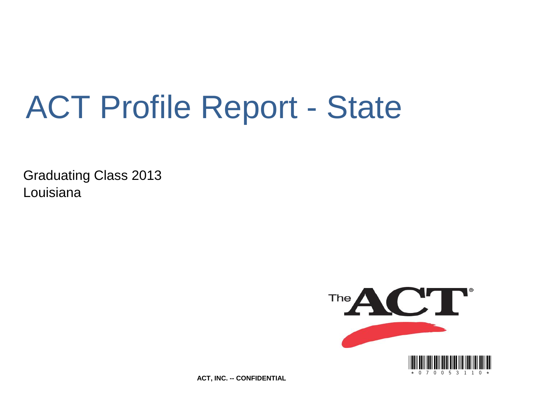# ACT Profile Report - State

Graduating Class 2013 Louisiana



**ACT, INC. -- CONFIDENTIAL**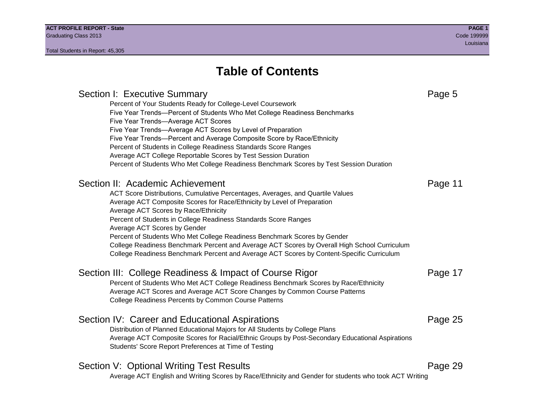Section I: Executive Summary **Page 5** and the section I: Executive Summary Percent of Your Students Ready for College-Level Coursework Five Year Trends—Percent of Students Who Met College Readiness Benchmarks Five Year Trends—Average ACT Scores Five Year Trends—Average ACT Scores by Level of Preparation Five Year Trends—Percent and Average Composite Score by Race/Ethnicity Percent of Students in College Readiness Standards Score Ranges Average ACT College Reportable Scores by Test Session Duration Percent of Students Who Met College Readiness Benchmark Scores by Test Session Duration Section II: Academic Achievement **Page 11** Page 11 ACT Score Distributions, Cumulative Percentages, Averages, and Quartile Values Average ACT Composite Scores for Race/Ethnicity by Level of Preparation Average ACT Scores by Race/Ethnicity Percent of Students in College Readiness Standards Score Ranges Average ACT Scores by Gender Percent of Students Who Met College Readiness Benchmark Scores by Gender College Readiness Benchmark Percent and Average ACT Scores by Overall High School Curriculum College Readiness Benchmark Percent and Average ACT Scores by Content-Specific Curriculum Section III: College Readiness & Impact of Course Rigor Page 17 Percent of Students Who Met ACT College Readiness Benchmark Scores by Race/Ethnicity Average ACT Scores and Average ACT Score Changes by Common Course Patterns College Readiness Percents by Common Course Patterns Section IV: Career and Educational Aspirations **Page 25** Page 25 Distribution of Planned Educational Majors for All Students by College Plans Average ACT Composite Scores for Racial/Ethnic Groups by Post-Secondary Educational Aspirations Students' Score Report Preferences at Time of Testing Section V: Optional Writing Test Results **Page 29** Page 29 Average ACT English and Writing Scores by Race/Ethnicity and Gender for students who took ACT Writing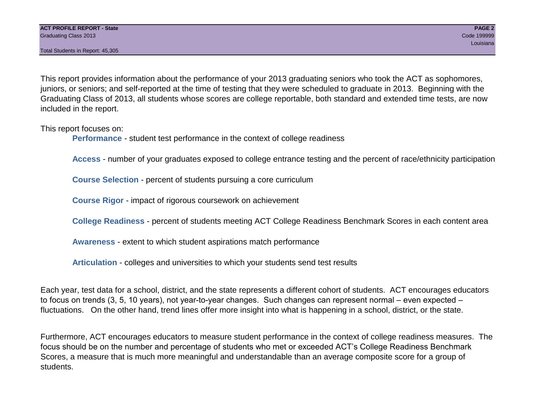This report provides information about the performance of your 2013 graduating seniors who took the ACT as sophomores, juniors, or seniors; and self-reported at the time of testing that they were scheduled to graduate in 2013. Beginning with the Graduating Class of 2013, all students whose scores are college reportable, both standard and extended time tests, are now included in the report.

This report focuses on:

**Performance** - student test performance in the context of college readiness

**Access** - number of your graduates exposed to college entrance testing and the percent of race/ethnicity participation

**Course Selection** - percent of students pursuing a core curriculum

**Course Rigor** - impact of rigorous coursework on achievement

**College Readiness** - percent of students meeting ACT College Readiness Benchmark Scores in each content area

**Awareness** - extent to which student aspirations match performance

**Articulation** - colleges and universities to which your students send test results

Each year, test data for a school, district, and the state represents a different cohort of students. ACT encourages educators to focus on trends (3, 5, 10 years), not year-to-year changes. Such changes can represent normal – even expected – fluctuations. On the other hand, trend lines offer more insight into what is happening in a school, district, or the state.

Furthermore, ACT encourages educators to measure student performance in the context of college readiness measures. The focus should be on the number and percentage of students who met or exceeded ACT's College Readiness Benchmark Scores, a measure that is much more meaningful and understandable than an average composite score for a group of students.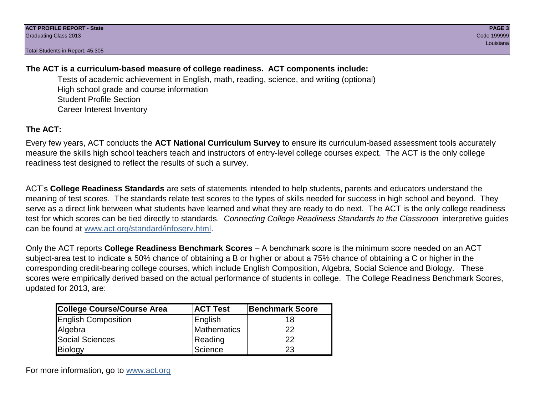# **The ACT is a curriculum-based measure of college readiness. ACT components include:**

Tests of academic achievement in English, math, reading, science, and writing (optional) High school grade and course information Student Profile Section Career Interest Inventory

# **The ACT:**

Every few years, ACT conducts the **ACT National Curriculum Survey** to ensure its curriculum-based assessment tools accurately measure the skills high school teachers teach and instructors of entry-level college courses expect. The ACT is the only college readiness test designed to reflect the results of such a survey.

ACT's **College Readiness Standards** are sets of statements intended to help students, parents and educators understand the meaning of test scores. The standards relate test scores to the types of skills needed for success in high school and beyond. They serve as a direct link between what students have learned and what they are ready to do next. The ACT is the only college readiness test for which scores can be tied directly to standards. *Connecting College Readiness Standards to the Classroom* interpretive guides can be found at www.act.org/standard/infoserv.html.

Only the ACT reports **College Readiness Benchmark Scores** – A benchmark score is the minimum score needed on an ACT subject-area test to indicate a 50% chance of obtaining a B or higher or about a 75% chance of obtaining a C or higher in the corresponding credit-bearing college courses, which include English Composition, Algebra, Social Science and Biology. These scores were empirically derived based on the actual performance of students in college. The College Readiness Benchmark Scores, updated for 2013, are:

| College Course/Course Area | <b>ACT Test</b> | <b>Benchmark Score</b> |
|----------------------------|-----------------|------------------------|
| <b>English Composition</b> | English         | 18                     |
| Algebra                    | Mathematics     | 22                     |
| <b>Social Sciences</b>     | Reading         | 22                     |
| Biology                    | Science         | 23                     |

For more information, go to www.act.org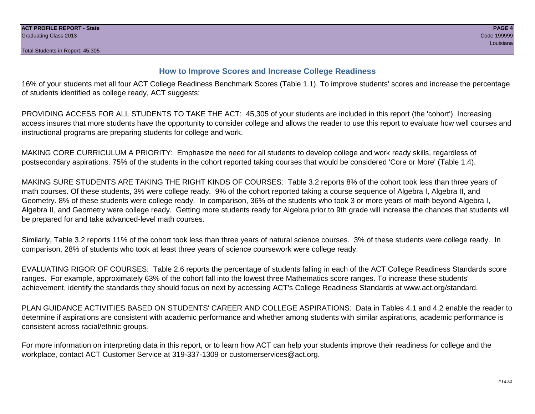# **How to Improve Scores and Increase College Readiness**

16% of your students met all four ACT College Readiness Benchmark Scores (Table 1.1). To improve students' scores and increase the percentage of students identified as college ready, ACT suggests:

PROVIDING ACCESS FOR ALL STUDENTS TO TAKE THE ACT: 45,305 of your students are included in this report (the 'cohort'). Increasing access insures that more students have the opportunity to consider college and allows the reader to use this report to evaluate how well courses and instructional programs are preparing students for college and work.

MAKING CORE CURRICULUM A PRIORITY: Emphasize the need for all students to develop college and work ready skills, regardless of postsecondary aspirations. 75% of the students in the cohort reported taking courses that would be considered 'Core or More' (Table 1.4).

MAKING SURE STUDENTS ARE TAKING THE RIGHT KINDS OF COURSES: Table 3.2 reports 8% of the cohort took less than three years of math courses. Of these students, 3% were college ready. 9% of the cohort reported taking a course sequence of Algebra I, Algebra II, and Geometry. 8% of these students were college ready. In comparison, 36% of the students who took 3 or more years of math beyond Algebra I, Algebra II, and Geometry were college ready. Getting more students ready for Algebra prior to 9th grade will increase the chances that students will be prepared for and take advanced-level math courses.

Similarly, Table 3.2 reports 11% of the cohort took less than three years of natural science courses. 3% of these students were college ready. In comparison, 28% of students who took at least three years of science coursework were college ready.

EVALUATING RIGOR OF COURSES: Table 2.6 reports the percentage of students falling in each of the ACT College Readiness Standards score ranges. For example, approximately 63% of the cohort fall into the lowest three Mathematics score ranges. To increase these students' achievement, identify the standards they should focus on next by accessing ACT's College Readiness Standards at www.act.org/standard.

PLAN GUIDANCE ACTIVITIES BASED ON STUDENTS' CAREER AND COLLEGE ASPIRATIONS: Data in Tables 4.1 and 4.2 enable the reader to determine if aspirations are consistent with academic performance and whether among students with similar aspirations, academic performance is consistent across racial/ethnic groups.

For more information on interpreting data in this report, or to learn how ACT can help your students improve their readiness for college and the workplace, contact ACT Customer Service at 319-337-1309 or customerservices@act.org.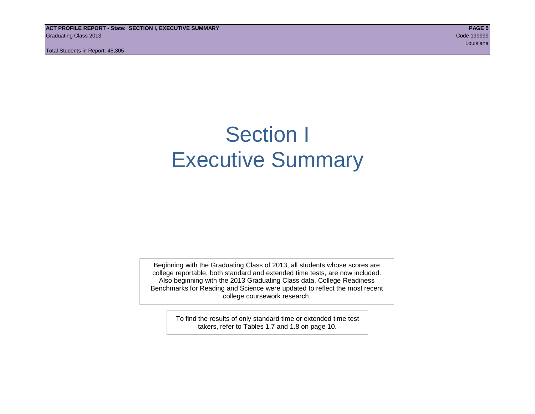**ACT PROFILE REPORT - State: SECTION I, EXECUTIVE SUMMARY PAGE 5** Graduating Class 2013 Code 199999

Total Students in Report: 45,305

louisiana and a contract the contract of the contract of the contract of the contract of the contract of the contract of the contract of the contract of the contract of the contract of the contract of the contract of the c

# Section I Executive Summary

Beginning with the Graduating Class of 2013, all students whose scores are college reportable, both standard and extended time tests, are now included. Also beginning with the 2013 Graduating Class data, College Readiness Benchmarks for Reading and Science were updated to reflect the most recent college coursework research.

> To find the results of only standard time or extended time test takers, refer to Tables 1.7 and 1.8 on page 10.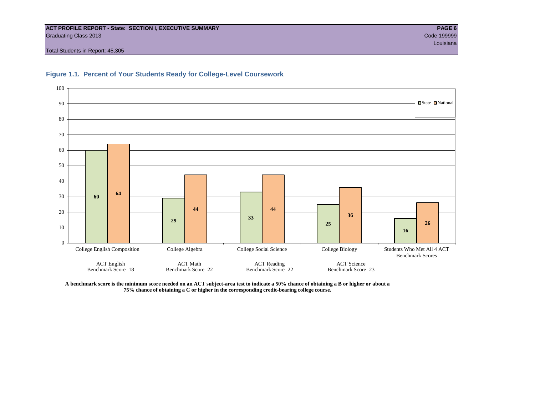#### **ACT PROFILE REPORT - State: SECTION I, EXECUTIVE SUMMARY PAGE 6** Graduating Class 2013 Code 199999

0

ACT English Benchmark Score=18

10

20

■State ■National

**16**

Benchmark Scores

**26**

Total Students in Report: 45,305



#### **Figure 1.1. Percent of Your Students Ready for College-Level Coursework**



**44 44**

College English Composition College Algebra College Social Science College Biology Students Who Met All 4 ACT

ACT Reading Benchmark Score=22 **25**

**36**

ACT Science Benchmark Score=23

**<sup>29</sup> <sup>33</sup>**

ACT Math Benchmark Score=22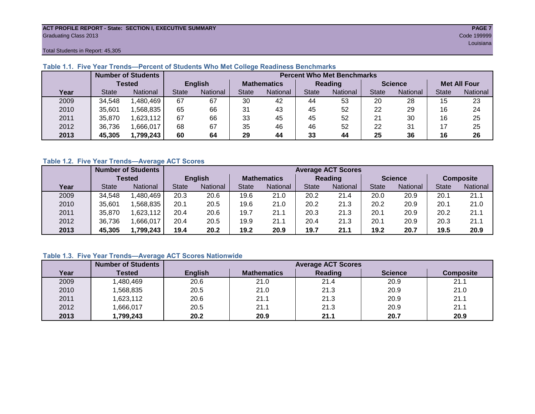#### **ACT PROFILE REPORT - State: SECTION I, EXECUTIVE SUMMARY PAGE 7** Graduating Class 2013 Code 199999

louisiana and a contract of the contract of the contract of the contract of the contract of the contract of the

Total Students in Report: 45,305

|      |               | <b>Number of Students</b> |                |          |                    | <b>Percent Who Met Benchmarks</b> |                |          |                |          |                     |          |  |
|------|---------------|---------------------------|----------------|----------|--------------------|-----------------------------------|----------------|----------|----------------|----------|---------------------|----------|--|
|      | <b>Tested</b> |                           | <b>English</b> |          | <b>Mathematics</b> |                                   | <b>Reading</b> |          | <b>Science</b> |          | <b>Met All Four</b> |          |  |
| Year | <b>State</b>  | <b>National</b>           | <b>State</b>   | National | State              | National                          | <b>State</b>   | National | <b>State</b>   | National | <b>State</b>        | National |  |
| 2009 | 34,548        | ,480,469                  | 67             | 67       | 30                 | 42                                | 44             | 53       | 20             | 28       | 15                  | 23       |  |
| 2010 | 35,601        | .568.835                  | 65             | 66       | 31                 | 43                                | 45             | 52       | 22             | 29       | 16                  | 24       |  |
| 2011 | 35.870        | .623,112                  | 67             | 66       | 33                 | 45                                | 45             | 52       | 21             | 30       | 16                  | 25       |  |
| 2012 | 36,736        | .666,017                  | 68             | 67       | 35                 | 46                                | 46             | 52       | 22             | 31       |                     | 25       |  |
| 2013 | 45,305        | 1,799,243                 | 60             | 64       | 29                 | 44                                | 33             | 44       | 25             | 36       | 16                  | 26       |  |

# **Table 1.1. Five Year Trends—Percent of Students Who Met College Readiness Benchmarks**

## **Table 1.2. Five Year Trends—Average ACT Scores**

|      | <b>Number of Students</b> |                 |                |          | <b>Average ACT Scores</b> |          |                |                 |                |          |                  |          |
|------|---------------------------|-----------------|----------------|----------|---------------------------|----------|----------------|-----------------|----------------|----------|------------------|----------|
|      | Tested                    |                 | <b>English</b> |          | <b>Mathematics</b>        |          | <b>Reading</b> |                 | <b>Science</b> |          | <b>Composite</b> |          |
| Year | <b>State</b>              | <b>National</b> | <b>State</b>   | National | State                     | National | State          | <b>National</b> | <b>State</b>   | National | <b>State</b>     | National |
| 2009 | 34.548                    | .480,469        | 20.3           | 20.6     | 19.6                      | 21.0     | 20.2           | 21.4            | 20.0           | 20.9     | 20.1             | 21.1     |
| 2010 | 35,601                    | .568.835        | 20.1           | 20.5     | 19.6                      | 21.0     | 20.2           | 21.3            | 20.2           | 20.9     | 20.1             | 21.0     |
| 2011 | 35,870                    | .623,112        | 20.4           | 20.6     | 19.7                      | 21.1     | 20.3           | 21.3            | 20.1           | 20.9     | 20.2             | 21.1     |
| 2012 | 36,736                    | .666,017        | 20.4           | 20.5     | 19.9                      | 21.1     | 20.4           | 21.3            | 20.1           | 20.9     | 20.3             | 21.1     |
| 2013 | 45,305                    | 1,799,243       | 19.4           | 20.2     | 19.2                      | 20.9     | 19.7           | 21.1            | 19.2           | 20.7     | 19.5             | 20.9     |

# **Table 1.3. Five Year Trends—Average ACT Scores Nationwide**

|      | <b>Number of Students</b> |                | <b>Average ACT Scores</b> |         |                |                  |  |  |  |  |  |
|------|---------------------------|----------------|---------------------------|---------|----------------|------------------|--|--|--|--|--|
| Year | Tested                    | <b>English</b> | <b>Mathematics</b>        | Reading | <b>Science</b> | <b>Composite</b> |  |  |  |  |  |
| 2009 | ,480,469                  | 20.6           | 21.0                      | 21.4    | 20.9           | 21.1             |  |  |  |  |  |
| 2010 | ,568,835                  | 20.5           | 21.0                      | 21.3    | 20.9           | 21.0             |  |  |  |  |  |
| 2011 | ,623,112                  | 20.6           | 21.1                      | 21.3    | 20.9           | 21.1             |  |  |  |  |  |
| 2012 | ,666,017                  | 20.5           | 21.1                      | 21.3    | 20.9           | 21.1             |  |  |  |  |  |
| 2013 | ,799,243                  | 20.2           | 20.9                      | 21.1    | 20.7           | 20.9             |  |  |  |  |  |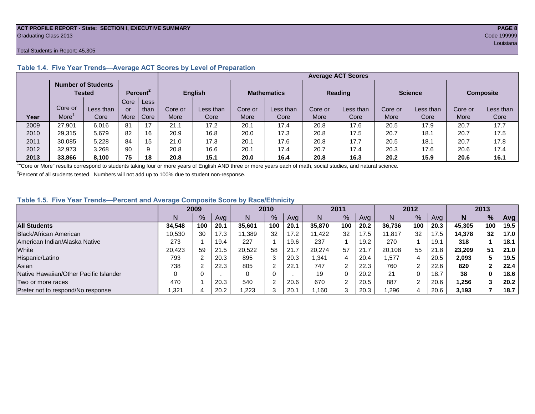#### **ACT PROFILE REPORT - State: SECTION I, EXECUTIVE SUMMARY PAGE 8** Graduating Class 2013 Code 199999

#### Total Students in Report: 45,305

|      |         |                                            |      |                      |                |           |                    |           |                | <b>Average ACT Scores</b> |                |           |                  |           |
|------|---------|--------------------------------------------|------|----------------------|----------------|-----------|--------------------|-----------|----------------|---------------------------|----------------|-----------|------------------|-----------|
|      |         | <b>Number of Students</b><br><b>Tested</b> |      | Percent <sup>2</sup> | <b>English</b> |           | <b>Mathematics</b> |           | <b>Reading</b> |                           | <b>Science</b> |           | <b>Composite</b> |           |
|      |         |                                            | Core | Less                 |                |           |                    |           |                |                           |                |           |                  |           |
|      | Core or | Less than                                  | or   | than                 | Core or        | Less than | Core or            | Less than | Core or        | Less than                 | Core or        | Less than | Core or          | Less than |
| Year | More    | Core                                       | More | Core                 | More           | Core      | More               | Core      | More           | Core                      | More           | Core      | More             | Core      |
| 2009 | 27,901  | 6,016                                      | 81   | 17                   | 21.1           | 17.2      | 20.1               | 17.4      | 20.8           | 17.6                      | 20.5           | 17.9      | 20.7             | 17.7      |
| 2010 | 29,315  | 5.679                                      | 82   | 16                   | 20.9           | 16.8      | 20.0               | 17.3      | 20.8           | 17.5                      | 20.7           | 18.1      | 20.7             | 17.5      |
| 2011 | 30,085  | 5,228                                      | 84   | 15                   | 21.0           | 17.3      | 20.1               | 17.6      | 20.8           | 17.7                      | 20.5           | 18.1      | 20.7             | 17.8      |
| 2012 | 32,973  | 3,268                                      | 90   | 9                    | 20.8           | 16.6      | 20.1               | 17.4      | 20.7           | 17.4                      | 20.3           | 17.6      | 20.6             | 17.4      |
| 2013 | 33.866  | 8.100                                      | 75   | 18                   | 20.8           | 15.1      | 20.0               | 16.4      | 20.8           | 16.3                      | 20.2           | 15.9      | 20.6             | 16.1      |

### **Table 1.4. Five Year Trends—Average ACT Scores by Level of Preparation**

<sup>1</sup>"Core or More" results correspond to students taking four or more years of English AND three or more years each of math, social studies, and natural science.

 $2$ Percent of all students tested. Numbers will not add up to 100% due to student non-response.

# **Table 1.5. Five Year Trends—Percent and Average Composite Score by Race/Ethnicity**

|                                        |        | 2009 |      |        | 2010          |      | 2011   |     | 2012 |        |     | 2013 |        |               |      |
|----------------------------------------|--------|------|------|--------|---------------|------|--------|-----|------|--------|-----|------|--------|---------------|------|
|                                        |        | %    | Avg  | N      | $\frac{9}{6}$ | Avg  | N      | %   | Avg  | N      | %   | Ava  | N      | $\frac{9}{6}$ | Avg  |
| <b>All Students</b>                    | 34.548 | 100  | 20.1 | 35.601 | 100           | 20.1 | 35,870 | 100 | 20.2 | 36.736 | 100 | 20.3 | 45.305 | 100           | 19.5 |
| Black/African American                 | 10.530 | 30   | 17.3 | 11.389 | 32            | 17.2 | 11.422 | 32  | 17.5 | 11.817 | 32  | 17.5 | 14.378 | 32            | 17.0 |
| American Indian/Alaska Native          | 273    |      | 19.4 | 227    |               | 19.6 | 237    |     | 19.2 | 270    |     | 19.7 | 318    |               | 18.1 |
| White                                  | 20.423 | 59   | 21.5 | 20.522 | 58            | 21.7 | 20.274 | 57  | 21.7 | 20.108 | 55  | 21.8 | 23.209 | 51            | 21.0 |
| Hispanic/Latino                        | 793    |      | 20.3 | 895    | 3             | 20.3 | .341   | 4   | 20.4 | .577   | 4   | 20.5 | 2,093  |               | 19.5 |
| Asian                                  | 738    |      | 22.3 | 805    | C             | 22.1 | 747    |     | 22.3 | 760    |     | 22.6 | 820    |               | 22.4 |
| Native Hawaiian/Other Pacific Islander |        |      |      |        | 0             |      | 19     |     | 20.2 | 21     |     | 18.7 | 38     | 0             | 18.6 |
| Two or more races                      | 470    |      | 20.3 | 540    | $\sqrt{2}$    | 20.6 | 670    | ◠   | 20.5 | 887    | C.  | 20.6 | 1,256  |               | 20.2 |
| Prefer not to respond/No response      | .321   |      | 20.2 | .223   | ົ             | 20.1 | .160   | 3   | 20.3 | ,296   |     | 20.6 | 3.193  |               | 18.7 |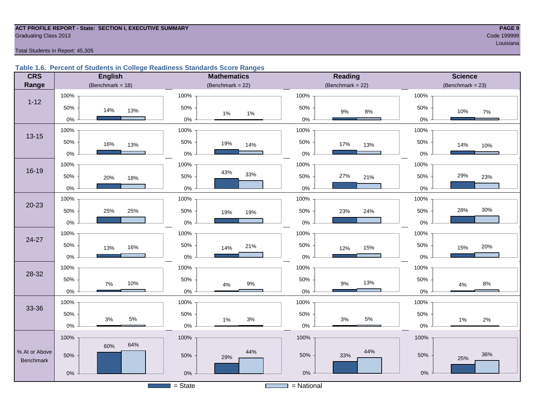#### **ACT PROFILE REPORT - State: SECTION I, EXECUTIVE SUMMARY PAGE 9 Graduating Class 2013** Code 199999 Code 199999

louisiana and a contract of the contract of the contract of the contract of the contract of the contract of the

Total Students in Report: 45,305

#### **Table 1.6. Percent of Students in College Readiness Standards Score Ranges**

| <b>CRS</b>    | <b>English</b>       | <b>Mathematics</b>    | <b>Reading</b>        | <b>Science</b>       |
|---------------|----------------------|-----------------------|-----------------------|----------------------|
| Range         | (Benchmark = $18$ )  | (Benchmark = $22$ )   | (Benchmark = $22$ )   | $(Benchmark = 23)$   |
|               | 100%                 | 100%                  | 100%                  | 100%                 |
| $1 - 12$      | 50%<br>14%<br>13%    | 50%<br>1%<br>1%       | 50%<br>$9\%$<br>$8\%$ | 50%<br>10%<br>$7\%$  |
|               | $0\%$                | $0\%$                 | $0\%$                 | $0\%$                |
| $13 - 15$     | 100%                 | 100%                  | 100%                  | 100%                 |
|               | 50%<br>16%<br>13%    | 50%<br>19%<br>14%     | 50%<br>17%<br>13%     | 50%<br>14%<br>10%    |
|               | $0\%$                | $0\%$                 | $0\%$                 | 0%                   |
|               | 100%                 | 100%                  | 100%                  | 100%                 |
| 16-19         | 50%<br>20%<br>18%    | 43%<br>33%<br>50%     | 27%<br>50%<br>21%     | 29%<br>50%<br>23%    |
|               | $0\%$                | $0\%$                 | $0\%$                 | 0%                   |
|               | 100%                 | 100%                  | 100%                  | 100%                 |
| $20 - 23$     | 50%<br>25%<br>25%    | 50%<br>19%<br>19%     | 50%<br>24%<br>23%     | 30%<br>28%<br>50%    |
|               | $0\%$                | $0\%$                 | $0\%$                 | 0%                   |
| 24-27         | 100%                 | 100%                  | 100%                  | 100%                 |
|               | 50%<br>16%<br>13%    | 50%<br>21%<br>14%     | 50%<br>15%<br>12%     | 50%<br>20%<br>15%    |
|               | $0\%$                | $0\%$                 | $0\%$                 | $0\%$                |
| 28-32         | 100%                 | 100%                  | 100%                  | 100%                 |
|               | 50%<br>10%<br>7%     | 50%<br>$9\%$<br>$4\%$ | 50%<br>13%<br>$9\%$   | 50%<br>$8\%$<br>4%   |
|               | $0\%$                | $0\%$                 | $0\%$                 | 0%                   |
|               | 100%                 | 100%                  | 100%                  | 100%                 |
| 33-36         | 50%                  | 50%                   | 50%                   | 50%                  |
|               | $5\%$<br>3%<br>$0\%$ | 3%<br>$1\%$<br>$0\%$  | $5\%$<br>3%<br>$0\%$  | $2\%$<br>1%<br>$0\%$ |
|               | 100%                 | 100%                  | 100%                  | 100%                 |
| % At or Above | 64%<br>60%           | 44%                   | 44%                   |                      |
| Benchmark     | 50%                  | 50%<br>29%            | 50%<br>33%            | 36%<br>50%<br>25%    |
|               | $0\%$                | $0\%$                 | $0\%$                 | $0\%$                |
|               |                      | $=$ State             | $=$ National          |                      |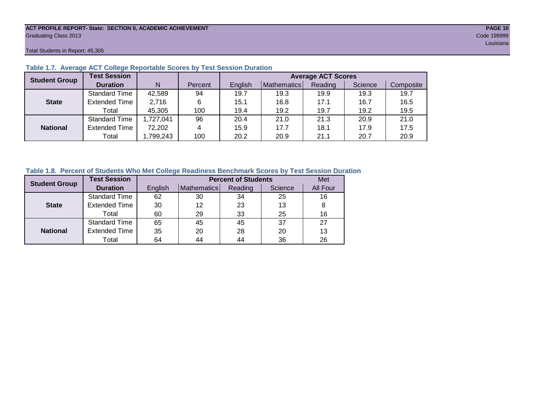#### **ACT PROFILE REPORT- State: SECTION II, ACADEMIC ACHIEVEMENT PAGE 10** Graduating Class 2013 Code 199999

Total Students in Report: 45,305

| <b>Student Group</b> | <b>Test Session</b>  |           | <b>Average ACT Scores</b> |         |             |         |         |           |  |
|----------------------|----------------------|-----------|---------------------------|---------|-------------|---------|---------|-----------|--|
|                      | <b>Duration</b>      | N         | Percent                   | English | Mathematics | Reading | Science | Composite |  |
|                      | <b>Standard Time</b> | 42,589    | 94                        | 19.7    | 19.3        | 19.9    | 19.3    | 19.7      |  |
| <b>State</b>         | <b>Extended Time</b> | 2,716     | 6                         | 15.1    | 16.8        | 17.1    | 16.7    | 16.5      |  |
|                      | Total                | 45,305    | 100                       | 19.4    | 19.2        | 19.7    | 19.2    | 19.5      |  |
|                      | <b>Standard Time</b> | 1,727,041 | 96                        | 20.4    | 21.0        | 21.3    | 20.9    | 21.0      |  |
| <b>National</b>      | <b>Extended Time</b> | 72,202    | 4                         | 15.9    | 17.7        | 18.1    | 17.9    | 17.5      |  |
|                      | Total                | ,799,243  | 100                       | 20.2    | 20.9        | 21.1    | 20.7    | 20.9      |  |

#### **Table 1.7. Average ACT College Reportable Scores by Test Session Duration**

# **Table 1.8. Percent of Students Who Met College Readiness Benchmark Scores by Test Session Duration**

| <b>Student Group</b> | <b>Test Session</b>  |         | <b>Percent of Students</b> | Met     |         |          |
|----------------------|----------------------|---------|----------------------------|---------|---------|----------|
|                      | <b>Duration</b>      | English | Mathematics                | Reading | Science | All Four |
|                      | Standard Time        | 62      | 30                         | 34      | 25      | 16       |
| <b>State</b>         | <b>Extended Time</b> | 30      | 12                         | 23      | 13      | 8        |
|                      | Total                | 60      | 29                         | 33      | 25      | 16       |
|                      | <b>Standard Time</b> | 65      | 45                         | 45      | 37      | 27       |
| <b>National</b>      | <b>Extended Time</b> | 35      | 20                         | 28      | 20      | 13       |
|                      | Total                | 64      | 44                         | 44      | 36      | 26       |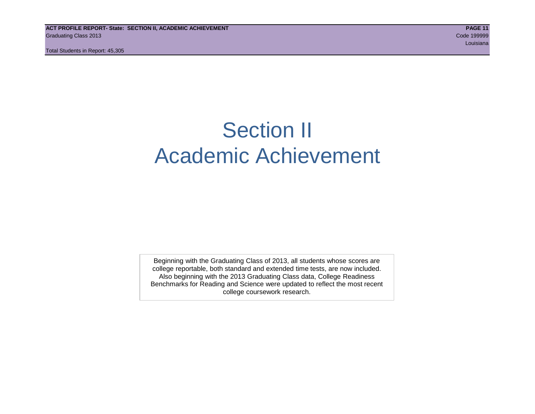# Section II Academic Achievement

Beginning with the Graduating Class of 2013, all students whose scores are college reportable, both standard and extended time tests, are now included. Also beginning with the 2013 Graduating Class data, College Readiness Benchmarks for Reading and Science were updated to reflect the most recent college coursework research.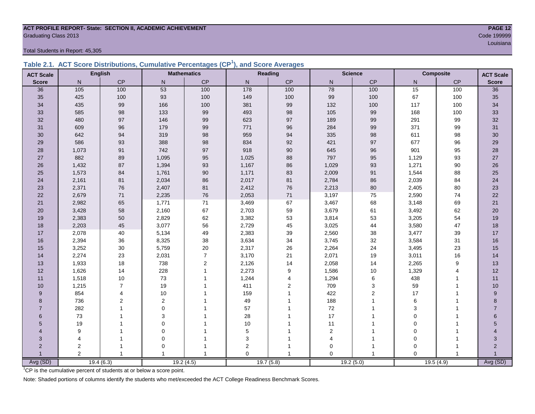# **ACT PROFILE REPORT- State: SECTION II, ACADEMIC ACHIEVEMENT PAGE 12** Graduating Class 2013 Code 199999

Total Students in Report: 45,305

|  | Table 2.1. ACT Score Distributions, Cumulative Percentages (CP <sup>1</sup> ), and Score Averages |  |  |  |
|--|---------------------------------------------------------------------------------------------------|--|--|--|
|  |                                                                                                   |  |  |  |

| <b>ACT Scale</b> |                | <b>English</b> |                | <b>Mathematics</b> |             | Reading   |                | <b>Science</b> |             | Composite      | <b>ACT Scale</b> |
|------------------|----------------|----------------|----------------|--------------------|-------------|-----------|----------------|----------------|-------------|----------------|------------------|
| <b>Score</b>     | N              | CP             | $\mathsf{N}$   | <b>CP</b>          | N           | CP        | $\mathsf{N}$   | CP             | N           | CP             | <b>Score</b>     |
| 36               | 105            | 100            | 53             | 100                | 178         | 100       | 78             | 100            | 15          | 100            | $\overline{36}$  |
| 35               | 425            | 100            | 93             | 100                | 149         | 100       | 99             | 100            | 67          | 100            | 35               |
| 34               | 435            | 99             | 166            | 100                | 381         | 99        | 132            | 100            | 117         | 100            | 34               |
| 33               | 585            | 98             | 133            | 99                 | 493         | 98        | 105            | 99             | 168         | 100            | 33               |
| 32               | 480            | 97             | 146            | 99                 | 623         | 97        | 189            | 99             | 291         | 99             | 32               |
| 31               | 609            | 96             | 179            | 99                 | 771         | 96        | 284            | 99             | 371         | 99             | 31               |
| 30               | 642            | 94             | 319            | 98                 | 959         | 94        | 335            | 98             | 611         | 98             | 30               |
| 29               | 586            | 93             | 388            | 98                 | 834         | 92        | 421            | 97             | 677         | 96             | 29               |
| 28               | 1,073          | 91             | 742            | 97                 | 918         | 90        | 645            | 96             | 901         | 95             | 28               |
| 27               | 882            | 89             | 1,095          | 95                 | 1,025       | 88        | 797            | 95             | 1,129       | 93             | $27\,$           |
| 26               | 1,432          | 87             | 1,394          | 93                 | 1,167       | 86        | 1,029          | 93             | 1,271       | 90             | $26\,$           |
| 25               | 1,573          | 84             | 1,761          | $90\,$             | 1,171       | 83        | 2,009          | 91             | 1,544       | 88             | 25               |
| 24               | 2,161          | 81             | 2,034          | 86                 | 2,017       | 81        | 2,784          | 86             | 2,039       | 84             | 24               |
| 23               | 2,371          | 76             | 2,407          | 81                 | 2,412       | 76        | 2,213          | 80             | 2,405       | 80             | 23               |
| 22               | 2,679          | 71             | 2,235          | 76                 | 2,053       | 71        | 3,197          | 75             | 2,590       | 74             | 22               |
| 21               | 2,982          | 65             | 1,771          | $71$               | 3,469       | 67        | 3,467          | 68             | 3,148       | 69             | 21               |
| 20               | 3,428          | 58             | 2,160          | 67                 | 2,703       | 59        | 3,679          | 61             | 3,492       | 62             | 20               |
| 19               | 2,383          | 50             | 2,829          | 62                 | 3,382       | 53        | 3,814          | 53             | 3,205       | 54             | 19               |
| 18               | 2,203          | 45             | 3,077          | 56                 | 2,729       | 45        | 3,025          | 44             | 3,580       | 47             | 18               |
| 17               | 2,078          | 40             | 5,134          | 49                 | 2,383       | 39        | 2,560          | 38             | 3,477       | 39             | 17               |
| 16               | 2,394          | 36             | 8,325          | 38                 | 3,634       | 34        | 3,745          | 32             | 3,584       | 31             | 16               |
| 15               | 3,252          | $30\,$         | 5,759          | $20\,$             | 2,317       | 26        | 2,264          | 24             | 3,495       | 23             | 15               |
| 14               | 2,274          | 23             | 2,031          | $\overline{7}$     | 3,170       | 21        | 2,071          | 19             | 3,011       | 16             | 14               |
| 13               | 1,933          | 18             | 738            | $\mathbf 2$        | 2,126       | 14        | 2,058          | 14             | 2,265       | 9              | 13               |
| 12               | 1,626          | 14             | 228            | $\mathbf{1}$       | 2,273       | 9         | 1,586          | $10$           | 1,329       | $\overline{4}$ | 12               |
| 11               | 1,518          | 10             | 73             | $\overline{1}$     | 1,244       | 4         | 1,294          | 6              | 438         | $\mathbf{1}$   | 11               |
| 10               | 1,215          | $\overline{7}$ | 19             |                    | 411         | 2         | 709            | 3              | 59          | 1              | 10               |
| 9                | 854            | 4              | 10             |                    | 159         |           | 422            | $\mathbf 2$    | 17          | $\overline{1}$ | $\boldsymbol{9}$ |
| 8                | 736            | 2              | $\overline{c}$ |                    | 49          |           | 188            | 1              | 6           |                | 8                |
| $\overline{7}$   | 282            |                | $\Omega$       |                    | 57          |           | 72             | 1              | 3           |                | $\overline{7}$   |
| 6                | 73             |                | 3              |                    | 28          |           | 17             | 1              | $\mathbf 0$ |                | 6                |
| 5                | 19             |                | $\mathbf 0$    |                    | $10$        |           | 11             | 1              | $\mathbf 0$ | $\overline{1}$ | 5                |
| 4                | 9              |                | $\mathbf 0$    |                    | 5           |           | $\overline{c}$ |                | $\mathbf 0$ |                |                  |
| 3                | $\overline{4}$ |                | $\mathbf 0$    |                    | 3           |           | 4              | $\overline{1}$ | $\mathbf 0$ |                | 3                |
| $\overline{2}$   | $\overline{2}$ | 1              | $\mathbf 0$    |                    | $\mathbf 2$ |           | $\mathbf 0$    | 1              | $\mathbf 0$ | $\overline{1}$ | $\overline{2}$   |
|                  | $\overline{2}$ | $\mathbf{1}$   | $\overline{1}$ | $\mathbf{1}$       | $\Omega$    |           | $\Omega$       | $\overline{1}$ | $\Omega$    |                |                  |
| Avg (SD)         |                | 19.4(6.3)      |                | 19.2(4.5)          |             | 19.7(5.8) |                | 19.2(5.0)      |             | 19.5(4.9)      | Avg (SD)         |

<sup>1</sup>CP is the cumulative percent of students at or below a score point.

Note: Shaded portions of columns identify the students who met/exceeded the ACT College Readiness Benchmark Scores.

louisiana and a contract of the contract of the contract of the contract of the contract of the contract of the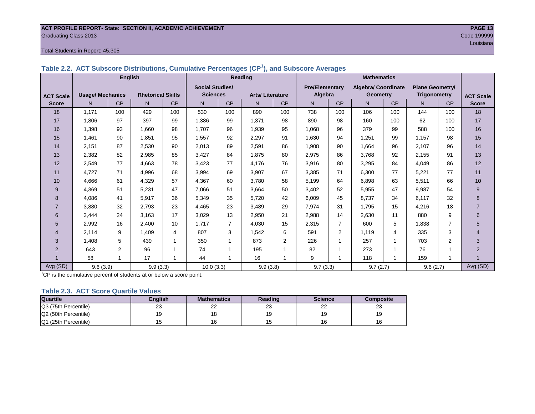# **ACT PROFILE REPORT- State: SECTION II, ACADEMIC ACHIEVEMENT PAGE 13** Graduating Class 2013 Code 199999

#### Total Students in Report: 45,305

| Table 2.2. ACT Subscore Distributions, Cumulative Percentages (CP <sup>1</sup> ), and Subscore Averages |  |
|---------------------------------------------------------------------------------------------------------|--|
|---------------------------------------------------------------------------------------------------------|--|

|                  | <b>English</b>          |                |                          |     |                        |                | <b>Reading</b>         |                |                       |           |                            |                |                        |                |                  |
|------------------|-------------------------|----------------|--------------------------|-----|------------------------|----------------|------------------------|----------------|-----------------------|-----------|----------------------------|----------------|------------------------|----------------|------------------|
|                  |                         |                |                          |     | <b>Social Studies/</b> |                |                        |                | <b>Pre/Elementary</b> |           | <b>Algebra/ Coordinate</b> |                | <b>Plane Geometry/</b> |                |                  |
| <b>ACT Scale</b> | <b>Usage/ Mechanics</b> |                | <b>Rhetorical Skills</b> |     | <b>Sciences</b>        |                | <b>Arts/Literature</b> |                | Algebra               |           | <b>Geometry</b>            |                | <b>Trigonometry</b>    |                | <b>ACT Scale</b> |
| <b>Score</b>     | N.                      | CP             | N                        | CP  | N                      | <b>CP</b>      | N                      | <b>CP</b>      | N.                    | <b>CP</b> | N                          | <b>CP</b>      | N.                     | CP             | <b>Score</b>     |
| 18               | 1.171                   | 100            | 429                      | 100 | 530                    | 100            | 890                    | 100            | 738                   | 100       | 106                        | 100            | 144                    | 100            | 18               |
| 17               | 1.806                   | 97             | 397                      | 99  | 1.386                  | 99             | 1,371                  | 98             | 890                   | 98        | 160                        | 100            | 62                     | 100            | 17               |
| 16               | 1,398                   | 93             | 1,660                    | 98  | 1.707                  | 96             | 1,939                  | 95             | 1,068                 | 96        | 379                        | 99             | 588                    | 100            | 16               |
| 15               | 1,461                   | 90             | 1,851                    | 95  | 1,557                  | 92             | 2,297                  | 91             | 1,630                 | 94        | 1,251                      | 99             | 1,157                  | 98             | 15               |
| 14               | 2,151                   | 87             | 2,530                    | 90  | 2,013                  | 89             | 2,591                  | 86             | 1,908                 | 90        | 1,664                      | 96             | 2,107                  | 96             | 14               |
| 13               | 2,382                   | 82             | 2,985                    | 85  | 3,427                  | 84             | 1,875                  | 80             | 2,975                 | 86        | 3,768                      | 92             | 2,155                  | 91             | 13               |
| 12               | 2,549                   | 77             | 4,663                    | 78  | 3,423                  | 77             | 4,176                  | 76             | 3,916                 | 80        | 3,295                      | 84             | 4,049                  | 86             | 12               |
| 11               | 4,727                   | 71             | 4,996                    | 68  | 3,994                  | 69             | 3,907                  | 67             | 3,385                 | 71        | 6,300                      | 77             | 5,221                  | 77             | 11               |
| 10               | 4,666                   | 61             | 4,329                    | 57  | 4,367                  | 60             | 3,780                  | 58             | 5,199                 | 64        | 6,898                      | 63             | 5,511                  | 66             | 10               |
| 9                | 4,369                   | 51             | 5,231                    | 47  | 7,066                  | 51             | 3,664                  | 50             | 3,402                 | 52        | 5,955                      | 47             | 9,987                  | 54             | 9                |
| 8                | 4,086                   | 41             | 5,917                    | 36  | 5,349                  | 35             | 5,720                  | 42             | 6,009                 | 45        | 8,737                      | 34             | 6,117                  | 32             | 8                |
| $\overline{7}$   | 3,880                   | 32             | 2,793                    | 23  | 4,465                  | 23             | 3,489                  | 29             | 7,974                 | 31        | 1,795                      | 15             | 4,216                  | 18             | $\overline{7}$   |
| 6                | 3,444                   | 24             | 3,163                    | 17  | 3,029                  | 13             | 2,950                  | 21             | 2,988                 | 14        | 2,630                      | 11             | 880                    | 9              | 6                |
| 5                | 2,992                   | 16             | 2,400                    | 10  | 1,717                  | $\overline{7}$ | 4,030                  | 15             | 2,315                 |           | 600                        | 5              | 1,838                  | 7              | 5                |
| $\overline{4}$   | 2,114                   | 9              | 1.409                    | 4   | 807                    | 3              | 1,542                  | 6              | 591                   | 2         | 1,119                      | 4              | 335                    | 3              | $\overline{4}$   |
| 3                | 1,408                   | 5              | 439                      | 1   | 350                    |                | 873                    | $\overline{2}$ | 226                   |           | 257                        |                | 703                    | $\overline{2}$ | 3                |
| 2                | 643                     | $\overline{2}$ | 96                       |     | 74                     |                | 195                    |                | 82                    |           | 273                        |                | 76                     |                | $\overline{2}$   |
|                  | 58                      | $\overline{ }$ | 17                       | 1   | 44                     | 1              | 16                     |                | 9                     |           | 118                        | $\overline{ }$ | 159                    |                |                  |
| Avg (SD)         | 9.6(3.9)                |                | 9.9(3.3)                 |     | 10.0(3.3)              |                | 9.9(3.8)               |                | 9.7(3.3)              |           | 9.7(2.7)                   |                | 9.6(2.7)               |                | Avg (SD)         |

<sup>1</sup>CP is the cumulative percent of students at or below a score point.

#### **Table 2.3. ACT Score Quartile Values**

| <b>Quartile</b>      | <b>Enalish</b> | <b>Mathematics</b> | Reading  | <b>Science</b> | Composite |
|----------------------|----------------|--------------------|----------|----------------|-----------|
| Q3 (75th Percentile) | 23             | nn<br>--           | nn<br>ںے | nn<br>--       | د∠        |
| Q2 (50th Percentile) | 19             |                    |          | 19             |           |
| Q1 (25th Percentile) |                |                    |          | 16             |           |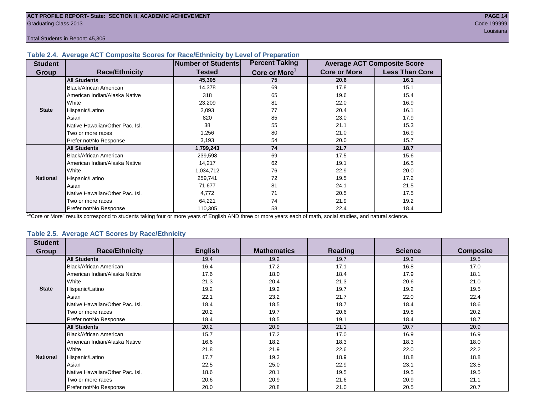#### **Table 2.4. Average ACT Composite Scores for Race/Ethnicity by Level of Preparation**

| <b>Student</b>  |                                 | <b>Number of Students</b> | <b>Percent Taking</b>     |                     | <b>Average ACT Composite Score</b> |
|-----------------|---------------------------------|---------------------------|---------------------------|---------------------|------------------------------------|
| Group           | <b>Race/Ethnicity</b>           | <b>Tested</b>             | Core or More <sup>1</sup> | <b>Core or More</b> | <b>Less Than Core</b>              |
|                 | <b>All Students</b>             | 45,305                    | 75                        | 20.6                | 16.1                               |
|                 | <b>Black/African American</b>   | 14,378                    | 69                        | 17.8                | 15.1                               |
|                 | American Indian/Alaska Native   | 318                       | 65                        | 19.6                | 15.4                               |
|                 | <b>I</b> White                  | 23,209                    | 81                        | 22.0                | 16.9                               |
| <b>State</b>    | Hispanic/Latino                 | 2,093                     | 77                        | 20.4                | 16.1                               |
|                 | Asian                           | 820                       | 85                        | 23.0                | 17.9                               |
|                 | Native Hawaiian/Other Pac. Isl. | 38                        | 55                        | 21.1                | 15.3                               |
|                 | I Two or more races             | 1,256                     | 80                        | 21.0                | 16.9                               |
|                 | Prefer not/No Response          | 3,193                     | 54                        | 20.0                | 15.7                               |
|                 | <b>All Students</b>             | 1,799,243                 | 74                        | 21.7                | 18.7                               |
|                 | Black/African American          | 239,598                   | 69                        | 17.5                | 15.6                               |
|                 | American Indian/Alaska Native   | 14,217                    | 62                        | 19.1                | 16.5                               |
|                 | <b>I</b> White                  | 1,034,712                 | 76                        | 22.9                | 20.0                               |
| <b>National</b> | Hispanic/Latino                 | 259,741                   | 72                        | 19.5                | 17.2                               |
|                 | Asian                           | 71,677                    | 81                        | 24.1                | 21.5                               |
|                 | Native Hawaiian/Other Pac. Isl. | 4,772                     | 71                        | 20.5                | 17.5                               |
|                 | Two or more races               | 64,221                    | 74                        | 21.9                | 19.2                               |
|                 | Prefer not/No Response          | 110,305                   | 58                        | 22.4                | 18.4                               |

<sup>1</sup>"Core or More" results correspond to students taking four or more years of English AND three or more years each of math, social studies, and natural science.

#### **Table 2.5. Average ACT Scores by Race/Ethnicity**

| <b>Student</b>  |                                 |                |                    |                |                |                  |
|-----------------|---------------------------------|----------------|--------------------|----------------|----------------|------------------|
| <b>Group</b>    | <b>Race/Ethnicity</b>           | <b>English</b> | <b>Mathematics</b> | <b>Reading</b> | <b>Science</b> | <b>Composite</b> |
|                 | <b>All Students</b>             | 19.4           | 19.2               | 19.7           | 19.2           | 19.5             |
|                 | Black/African American          | 16.4           | 17.2               | 17.1           | 16.8           | 17.0             |
|                 | American Indian/Alaska Native   | 17.6           | 18.0               | 18.4           | 17.9           | 18.1             |
|                 | White                           | 21.3           | 20.4               | 21.3           | 20.6           | 21.0             |
| <b>State</b>    | Hispanic/Latino                 | 19.2           | 19.2               | 19.7           | 19.2           | 19.5             |
|                 | Asian                           | 22.1           | 23.2               | 21.7           | 22.0           | 22.4             |
|                 | Native Hawaiian/Other Pac. Isl. | 18.4           | 18.5               | 18.7           | 18.4           | 18.6             |
|                 | Two or more races               | 20.2           | 19.7               | 20.6           | 19.8           | 20.2             |
|                 | Prefer not/No Response          | 18.4           | 18.5               | 19.1           | 18.4           | 18.7             |
|                 | <b>All Students</b>             | 20.2           | 20.9               | 21.1           | 20.7           | 20.9             |
|                 | Black/African American          | 15.7           | 17.2               | 17.0           | 16.9           | 16.9             |
|                 | American Indian/Alaska Native   | 16.6           | 18.2               | 18.3           | 18.3           | 18.0             |
|                 | White                           | 21.8           | 21.9               | 22.6           | 22.0           | 22.2             |
| <b>National</b> | Hispanic/Latino                 | 17.7           | 19.3               | 18.9           | 18.8           | 18.8             |
|                 | Asian                           | 22.5           | 25.0               | 22.9           | 23.1           | 23.5             |
|                 | Native Hawaiian/Other Pac. Isl. | 18.6           | 20.1               | 19.5           | 19.5           | 19.5             |
|                 | Two or more races               | 20.6           | 20.9               | 21.6           | 20.9           | 21.1             |
|                 | Prefer not/No Response          | 20.0           | 20.8               | 21.0           | 20.5           | 20.7             |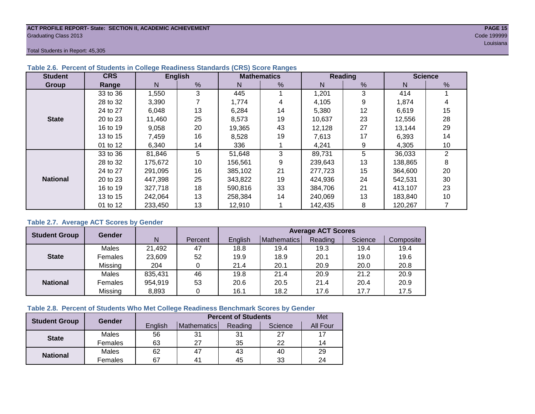#### **ACT PROFILE REPORT- State: SECTION II, ACADEMIC ACHIEVEMENT PAGE 15** Graduating Class 2013 Code 199999

Total Students in Report: 45,305

| <b>Student</b>  | <b>CRS</b> |             | <b>English</b> |         | <b>Mathematics</b> |         | <b>Reading</b> | <b>Science</b> |                |  |
|-----------------|------------|-------------|----------------|---------|--------------------|---------|----------------|----------------|----------------|--|
| Group           | Range      | N           | %              | N       | %                  | N       | %              | N              | %              |  |
|                 | 33 to 36   | 1,550       | 3              | 445     |                    | 1,201   | 3              | 414            |                |  |
|                 | 28 to 32   | 3,390       |                | 1,774   | 4                  | 4,105   | 9              | 1,874          | 4              |  |
|                 | 24 to 27   | 13<br>6,048 |                | 6,284   | 14                 | 5,380   | 12             | 6,619          | 15             |  |
| <b>State</b>    | 20 to 23   | 11,460      | 25             | 8,573   | 19                 | 10,637  | 23             | 12,556         | 28             |  |
|                 | 16 to 19   | 9,058       | 20             | 19.365  | 43                 | 12.128  | 27             | 13,144         | 29             |  |
|                 | 13 to 15   | 7,459       | 16             | 8,528   | 19                 | 7,613   | 17             | 6,393          | 14             |  |
|                 | 01 to 12   | 6,340       | 14             | 336     |                    | 4,241   | 9              | 4,305          | 10             |  |
|                 | 33 to 36   | 81,846      | 5              | 51,648  | 3                  | 89,731  | 5              | 36,033         | $\overline{2}$ |  |
|                 | 28 to 32   | 175,672     | 10             | 156,561 | 9                  | 239,643 | 13             | 138,865        | 8              |  |
|                 | 24 to 27   | 291,095     | 16             | 385.102 | 21                 | 277,723 | 15             | 364,600        | 20             |  |
| <b>National</b> | 20 to 23   | 447,398     | 25             | 343,822 | 19                 | 424,936 | 24             | 542,531        | 30             |  |
|                 | 16 to 19   | 327,718     | 18             | 590,816 | 33                 | 384,706 | 21             | 413,107        | 23             |  |
|                 | 13 to 15   | 242.064     | 13             | 258.384 | 14                 | 240.069 | 13             | 183,840        | 10             |  |
|                 | 01 to 12   | 233,450     | 13             | 12,910  |                    | 142,435 | 8              | 120,267        |                |  |

### **Table 2.6. Percent of Students in College Readiness Standards (CRS) Score Ranges**

### **Table 2.7. Average ACT Scores by Gender**

| <b>Student Group</b> | <b>Gender</b> |         |         | <b>Average ACT Scores</b> |             |         |         |           |  |  |  |  |  |
|----------------------|---------------|---------|---------|---------------------------|-------------|---------|---------|-----------|--|--|--|--|--|
|                      |               | N       | Percent | Enalish                   | Mathematics | Reading | Science | Composite |  |  |  |  |  |
|                      | Males         | 21,492  | 47      | 18.8                      | 19.4        | 19.3    | 19.4    | 19.4      |  |  |  |  |  |
| <b>State</b>         | Females       | 23,609  | 52      | 19.9                      | 18.9        | 20.1    | 19.0    | 19.6      |  |  |  |  |  |
|                      | Missing       | 204     |         | 21.4                      | 20.1        | 20.9    | 20.0    | 20.8      |  |  |  |  |  |
|                      | Males         | 835,431 | 46      | 19.8                      | 21.4        | 20.9    | 21.2    | 20.9      |  |  |  |  |  |
| <b>National</b>      | Females       | 954,919 | 53      | 20.6                      | 20.5        | 21.4    | 20.4    | 20.9      |  |  |  |  |  |
|                      | Missing       | 8,893   | 0       | 16.1                      | 18.2        | 17.6    | 17.7    | 17.5      |  |  |  |  |  |

# **Table 2.8. Percent of Students Who Met College Readiness Benchmark Scores by Gender**

| <b>Student Group</b> | Gender  |         | <b>Percent of Students</b> | Met     |         |          |
|----------------------|---------|---------|----------------------------|---------|---------|----------|
|                      |         | English | Mathematics                | Reading | Science | All Four |
| <b>State</b>         | Males   | 56      | 31                         | 31      | 27      |          |
|                      | Females | 63      | 27                         | 35      | 22      | 14       |
|                      | Males   | 62      | 47                         | 43      | 40      | 29       |
| <b>National</b>      | Females | 67      | 4 <sup>1</sup>             | 45      | 33      | 24       |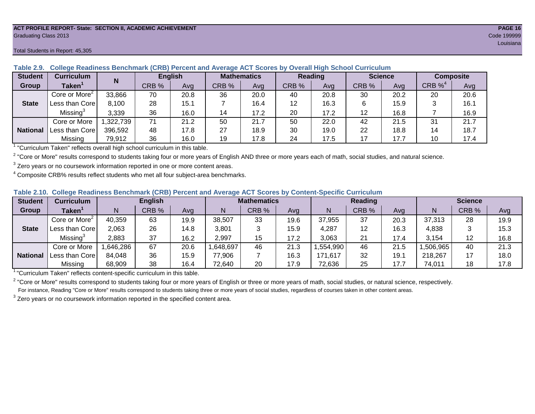#### **ACT PROFILE REPORT- State: SECTION II, ACADEMIC ACHIEVEMENT PAGE 16** Graduating Class 2013 Code 199999

| <b>Student</b>  | <b>Curriculum</b>                       | N        | <b>English</b> |      |       | Reading<br><b>Mathematics</b> |       |      |       | <b>Science</b> | <b>Composite</b> |      |
|-----------------|-----------------------------------------|----------|----------------|------|-------|-------------------------------|-------|------|-------|----------------|------------------|------|
| <b>Group</b>    | Taken $^{\scriptscriptstyle\mathsf{T}}$ |          | CRB %          | Avg  | CRB % | Avg                           | CRB % | Avg  | CRB % | Avg            | CRB $\%^4$       | Avg  |
|                 | Core or More <sup>2</sup>               | 33,866   | 70             | 20.8 | 36    | 20.0                          | 40    | 20.8 | 30    | 20.2           | 20               | 20.6 |
| <b>State</b>    | Less than Core                          | 8,100    | 28             | 15.1 |       | 16.4                          | 12    | 16.3 | 6     | 15.9           |                  | 16.1 |
|                 | Missing <sup>3</sup>                    | 3,339    | 36             | 16.0 | 14    | 17.2                          | 20    | 17.2 | 12    | 16.8           |                  | 16.9 |
|                 | Core or More                            | .322,739 | 71             | 21.2 | 50    | 21.7                          | 50    | 22.0 | 42    | 21.5           | 31               | 21.7 |
| <b>National</b> | Less than Corel                         | 396,592  | 48             | 17.8 | 27    | 18.9                          | 30    | 19.0 | 22    | 18.8           | 14               | 18.7 |
|                 | Missing                                 | 79,912   | 36             | 16.0 | 19    | 17.8                          | 24    | 17.5 | 17    | 17.7           | 10               | 17.4 |

**Table 2.9. College Readiness Benchmark (CRB) Percent and Average ACT Scores by Overall High School Curriculum**

1 "Curriculum Taken" reflects overall high school curriculum in this table.

 $^2$  "Core or More" results correspond to students taking four or more years of English AND three or more years each of math, social studies, and natural science.

 $3$  Zero years or no coursework information reported in one or more content areas.

 $4$  Composite CRB% results reflect students who met all four subject-area benchmarks.

| Table 2.10. College Readiness Benchmark (CRB) Percent and Average ACT Scores by Content-Specific Curriculum |  |
|-------------------------------------------------------------------------------------------------------------|--|
|-------------------------------------------------------------------------------------------------------------|--|

| <b>Student</b>  | Curriculum                    |          | <b>English</b> |      |          | <b>Mathematics</b> |      |          | <b>Reading</b> |      |          | <b>Science</b> |      |  |
|-----------------|-------------------------------|----------|----------------|------|----------|--------------------|------|----------|----------------|------|----------|----------------|------|--|
| Group           | $\mathsf{Taken}^{\mathsf{T}}$ |          | CRB %          | Avg  | N        | CRB %              | Avg  | N        | CRB %          | Avg  | N        | CRB %          | Avg  |  |
|                 | Core or More <sup>2</sup>     | 40,359   | 63             | 19.9 | 38,507   | 33                 | 19.6 | 37,955   | 37             | 20.3 | 37,313   | 28             | 19.9 |  |
| <b>State</b>    | Less than Corel               | 2,063    | 26             | 14.8 | 3,801    |                    | 15.9 | 4,287    | 12             | 16.3 | 4,838    |                | 15.3 |  |
|                 | Missing <sup>3</sup>          | 2,883    | 37             | 16.2 | 2,997    | 15                 | 17.2 | 3,063    | 21             | 17.4 | 3,154    | 12             | 16.8 |  |
|                 | Core or More                  | .646,286 | 67             | 20.6 | ,648,697 | 46                 | 21.3 | .554,990 | 46             | 21.5 | ,506,965 | 40             | 21.3 |  |
| <b>National</b> | Less than Core                | 84,048   | 36             | 15.9 | 77,906   |                    | 16.3 | 171,617  | 32             | 19.7 | 218,267  |                | 18.0 |  |
|                 | Missing                       | 68,909   | 38             | 16.4 | 72,640   | 20                 | 17.9 | 72,636   | 25             | 17.7 | 74,011   | 18             | 17.8 |  |

<sup>1</sup>"Curriculum Taken" reflects content-specific curriculum in this table.

<sup>2</sup> "Core or More" results correspond to students taking four or more years of English or three or more years of math, social studies, or natural science, respectively. For instance, Reading "Core or More" results correspond to students taking three or more years of social studies, regardless of courses taken in other content areas.

 $3$  Zero years or no coursework information reported in the specified content area.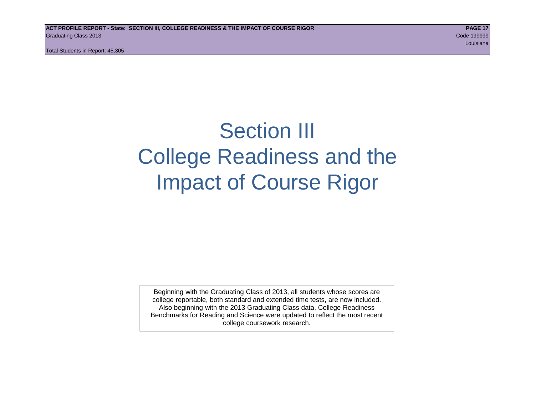# Section III College Readiness and the Impact of Course Rigor

Beginning with the Graduating Class of 2013, all students whose scores are college reportable, both standard and extended time tests, are now included. Also beginning with the 2013 Graduating Class data, College Readiness Benchmarks for Reading and Science were updated to reflect the most recent college coursework research.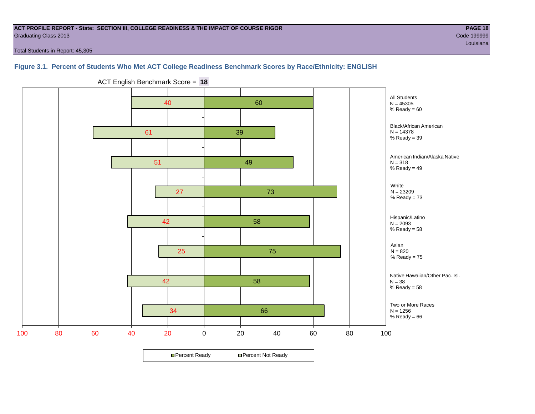#### **ACT PROFILE REPORT - State: SECTION III, COLLEGE READINESS & THE IMPACT OF COURSE RIGOR PAGE 18** Graduating Class 2013 Code 199999

louisiana and a contract of the contract of the contract of the contract of the contract of the contract of the

Total Students in Report: 45,305

# **Figure 3.1. Percent of Students Who Met ACT College Readiness Benchmark Scores by Race/Ethnicity: ENGLISH**



ACT English Benchmark Score = **18**

**□ Percent Ready DPercent Not Ready**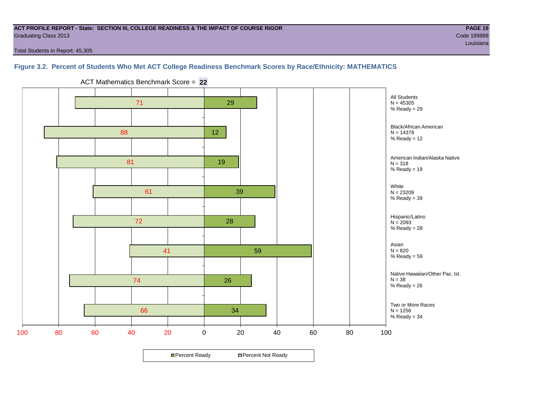#### **ACT PROFILE REPORT - State: SECTION III, COLLEGE READINESS & THE IMPACT OF COURSE RIGOR PAGE 19** Graduating Class 2013 Code 199999

Total Students in Report: 45,305

# **Figure 3.2. Percent of Students Who Met ACT College Readiness Benchmark Scores by Race/Ethnicity: MATHEMATICS**



ACT Mathematics Benchmark Score = **22**

**□ Percent Ready DPercent Not Ready**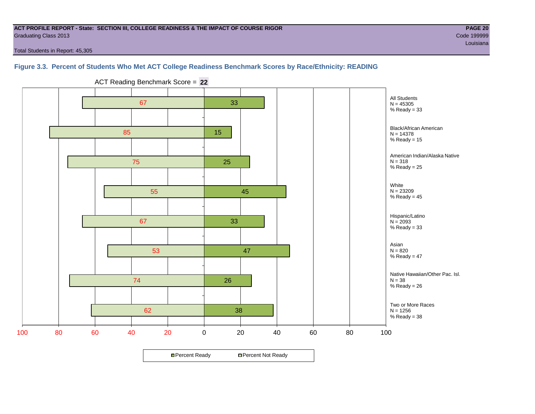#### **ACT PROFILE REPORT - State: SECTION III, COLLEGE READINESS & THE IMPACT OF COURSE RIGOR PAGE 20** Graduating Class 2013 Code 199999

Total Students in Report: 45,305

### **Figure 3.3. Percent of Students Who Met ACT College Readiness Benchmark Scores by Race/Ethnicity: READING**



ACT Reading Benchmark Score = **22**

**□ Percent Ready DPercent Not Ready**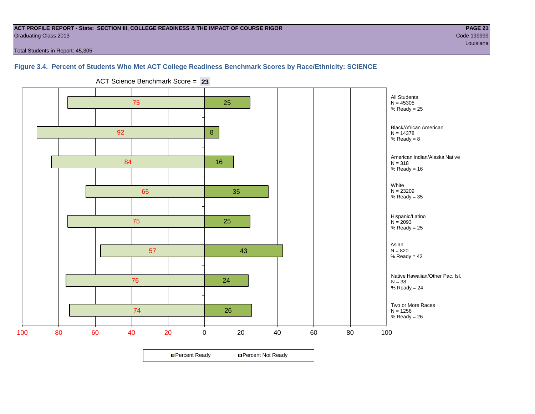#### **ACT PROFILE REPORT - State: SECTION III, COLLEGE READINESS & THE IMPACT OF COURSE RIGOR PAGE 21** Graduating Class 2013 Code 199999

louisiana and a contract of the contract of the contract of the contract of the contract of the contract of the

Total Students in Report: 45,305

# **Figure 3.4. Percent of Students Who Met ACT College Readiness Benchmark Scores by Race/Ethnicity: SCIENCE**

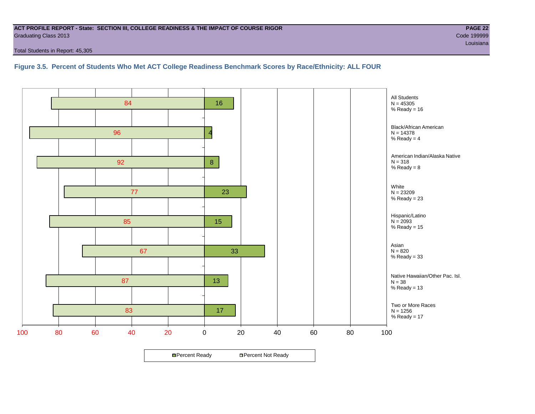#### **ACT PROFILE REPORT - State: SECTION III, COLLEGE READINESS & THE IMPACT OF COURSE RIGOR PAGE 22** Graduating Class 2013 Code 199999

Total Students in Report: 45,305

**Figure 3.5. Percent of Students Who Met ACT College Readiness Benchmark Scores by Race/Ethnicity: ALL FOUR**

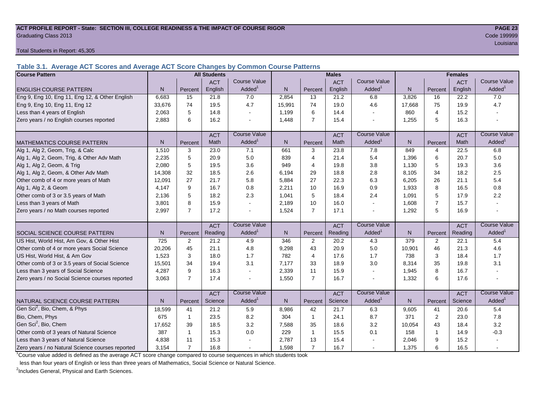#### **ACT PROFILE REPORT - State: SECTION III, COLLEGE READINESS & THE IMPACT OF COURSE RIGOR PAGE 23** Graduating Class 2013 Code 199999

Total Students in Report: 45,305

**Table 3.1. Average ACT Scores and Average ACT Score Changes by Common Course Patterns**

| <b>Course Pattern</b>                            |        |                | <b>All Students</b> |                     | <b>Males</b> |                |            |                          | <b>Females</b> |                |            |                        |
|--------------------------------------------------|--------|----------------|---------------------|---------------------|--------------|----------------|------------|--------------------------|----------------|----------------|------------|------------------------|
|                                                  |        |                | <b>ACT</b>          | <b>Course Value</b> |              |                | <b>ACT</b> | <b>Course Value</b>      |                |                | <b>ACT</b> | <b>Course Value</b>    |
| <b>ENGLISH COURSE PATTERN</b>                    | N.     | Percent        | English             | Added <sup>1</sup>  | N            | Percent        | English    | Added                    | N              | Percent        | English    | A d d e d <sup>1</sup> |
| Eng 9, Eng 10, Eng 11, Eng 12, & Other English   | 6,683  | 15             | 21.8                | 7.0                 | 2,854        | 13             | 21.2       | 6.8                      | 3,826          | 16             | 22.2       | 7.0                    |
| Eng 9, Eng 10, Eng 11, Eng 12                    | 33,676 | 74             | 19.5                | 4.7                 | 15,991       | 74             | 19.0       | 4.6                      | 17,668         | 75             | 19.9       | 4.7                    |
| Less than 4 years of English                     | 2,063  | 5              | 14.8                |                     | 1,199        | 6              | 14.4       | $\sim$                   | 860            | $\overline{4}$ | 15.2       |                        |
| Zero years / no English courses reported         | 2,883  | 6              | 16.2                |                     | 1,448        | $\overline{7}$ | 15.4       | $\overline{\phantom{a}}$ | 1,255          | 5              | 16.3       |                        |
|                                                  |        |                | <b>ACT</b>          | <b>Course Value</b> |              |                | <b>ACT</b> | <b>Course Value</b>      |                |                | <b>ACT</b> | <b>Course Value</b>    |
| <b>MATHEMATICS COURSE PATTERN</b>                | N.     | Percent        | Math                | Added <sup>1</sup>  | $\mathsf{N}$ | Percent        | Math       | Added <sup>1</sup>       | N              | Percent        | Math       | A d d e d <sup>1</sup> |
| Alg 1, Alg 2, Geom, Trig, & Calc                 | 1,510  | 3              | 23.0                | 7.1                 | 661          | 3              | 23.8       | 7.8                      | 849            | $\overline{4}$ | 22.5       | 6.8                    |
| Alg 1, Alg 2, Geom, Trig, & Other Adv Math       | 2.235  | 5              | 20.9                | 5.0                 | 839          | $\overline{4}$ | 21.4       | 5.4                      | 1,396          | 6              | 20.7       | 5.0                    |
| Alg 1, Alg 2, Geom, & Trig                       | 2.080  | 5              | 19.5                | 3.6                 | 949          | $\overline{4}$ | 19.8       | 3.8                      | 1,130          | 5              | 19.3       | 3.6                    |
| Alg 1, Alg 2, Geom, & Other Adv Math             | 14,308 | 32             | 18.5                | 2.6                 | 6,194        | 29             | 18.8       | 2.8                      | 8,105          | 34             | 18.2       | 2.5                    |
| Other comb of 4 or more years of Math            | 12,091 | 27             | 21.7                | 5.8                 | 5,884        | 27             | 22.3       | 6.3                      | 6,205          | 26             | 21.1       | 5.4                    |
| Alg 1, Alg 2, & Geom                             | 4,147  | 9              | 16.7                | 0.8                 | 2,211        | 10             | 16.9       | 0.9                      | 1,933          | 8              | 16.5       | 0.8                    |
| Other comb of 3 or 3.5 years of Math             | 2.136  | 5              | 18.2                | 2.3                 | 1,041        | 5              | 18.4       | 2.4                      | 1,091          | 5              | 17.9       | 2.2                    |
| Less than 3 years of Math                        | 3.801  | 8              | 15.9                |                     | 2,189        | 10             | 16.0       | $\mathbf{r}$             | 1,608          | $\overline{7}$ | 15.7       |                        |
| Zero years / no Math courses reported            | 2,997  | $\overline{7}$ | 17.2                |                     | 1,524        | $\overline{7}$ | 17.1       | $\sim$                   | 1,292          | 5              | 16.9       |                        |
|                                                  |        |                | <b>ACT</b>          | <b>Course Value</b> |              |                | <b>ACT</b> | <b>Course Value</b>      |                |                | <b>ACT</b> | <b>Course Value</b>    |
| <b>I</b> SOCIAL SCIENCE COURSE PATTERN           | N.     | Percent        | Reading             | Added <sup>1</sup>  | N            | Percent        | Reading    | Added                    | N              | Percent        | Reading    | $A dded^1$             |
| US Hist, World Hist, Am Gov, & Other Hist        | 725    | $\overline{2}$ | 21.2                | 4.9                 | 346          | 2              | 20.2       | 4.3                      | 379            | 2              | 22.1       | 5.4                    |
| Other comb of 4 or more years Social Science     | 20,206 | 45             | 21.1                | 4.8                 | 9,298        | 43             | 20.9       | 5.0                      | 10,901         | 46             | 21.3       | 4.6                    |
| US Hist, World Hist, & Am Gov                    | 1,523  | 3              | 18.0                | 1.7                 | 782          | $\overline{4}$ | 17.6       | 1.7                      | 738            | 3              | 18.4       | 1.7                    |
| Other comb of 3 or 3.5 years of Social Science   | 15,501 | 34             | 19.4                | 3.1                 | 7,177        | 33             | 18.9       | 3.0                      | 8,314          | 35             | 19.8       | 3.1                    |
| Less than 3 years of Social Science              | 4,287  | 9              | 16.3                |                     | 2,339        | 11             | 15.9       | $\overline{\phantom{a}}$ | 1,945          | 8              | 16.7       |                        |
| Zero years / no Social Science courses reported  | 3,063  | $\overline{7}$ | 17.4                |                     | 1,550        | $\overline{7}$ | 16.7       | $\overline{a}$           | 1,332          | 6              | 17.6       |                        |
|                                                  |        |                | <b>ACT</b>          | <b>Course Value</b> |              |                | <b>ACT</b> | Course Value             |                |                | <b>ACT</b> | <b>Course Value</b>    |
| <b>I</b> NATURAL SCIENCE COURSE PATTERN          | N.     | Percent        | Science             | Added <sup>1</sup>  | $\mathsf{N}$ | Percent        | Science    | Added <sup>1</sup>       | $\mathsf{N}$   | Percent        | Science    | A d d e d <sup>1</sup> |
| Gen Sci <sup>2</sup> , Bio, Chem, & Phys         | 18,599 | 41             | 21.2                | 5.9                 | 8,986        | 42             | 21.7       | 6.3                      | 9,605          | 41             | 20.6       | 5.4                    |
| Bio, Chem, Phys                                  | 675    | $\overline{1}$ | 23.5                | 8.2                 | 304          | $\mathbf{1}$   | 24.1       | 8.7                      | 371            | $\mathbf{2}$   | 23.0       | 7.8                    |
| Gen Sci <sup>2</sup> , Bio, Chem                 | 17,652 | 39             | 18.5                | 3.2                 | 7,588        | 35             | 18.6       | 3.2                      | 10,054         | 43             | 18.4       | 3.2                    |
| Other comb of 3 years of Natural Science         | 387    | -1             | 15.3                | 0.0                 | 229          | $\mathbf{1}$   | 15.5       | 0.1                      | 158            | 1              | 14.9       | $-0.3$                 |
| Less than 3 years of Natural Science             | 4,838  | 11             | 15.3                |                     | 2,787        | 13             | 15.4       |                          | 2,046          | 9              | 15.2       |                        |
| Zero years / no Natural Science courses reported | 3,154  | $\overline{7}$ | 16.8                |                     | 1,598        | $\overline{7}$ | 16.7       | $\sim$                   | 1,375          | 6              | 16.5       |                        |

<sup>1</sup>Course value added is defined as the average ACT score change compared to course sequences in which students took

less than four years of English or less than three years of Mathematics, Social Science or Natural Science.

<sup>2</sup>Includes General, Physical and Earth Sciences.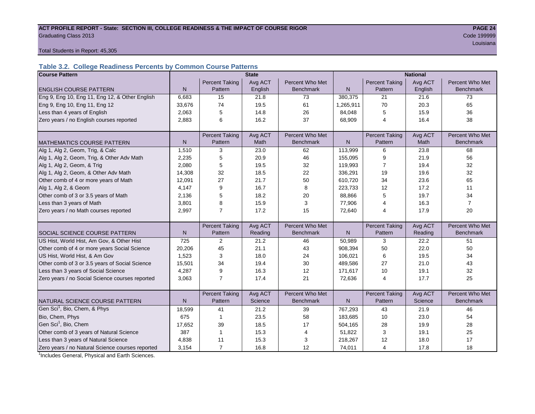#### ACT PROFILE REPORT - State: SECTION III, COLLEGE READINESS & THE IMPACT OF COURSE RIGOR **PAGE 24 Graduating Class 2013** Code 199999 Code 199999

louisiana and a contract of the contract of the contract of the contract of the contract of the contract of the

Total Students in Report: 45,305

# **Table 3.2. College Readiness Percents by Common Course Patterns**

| <b>Course Pattern</b>                            |                |                       | <b>State</b> |                  | <b>National</b> |                       |         |                  |  |  |
|--------------------------------------------------|----------------|-----------------------|--------------|------------------|-----------------|-----------------------|---------|------------------|--|--|
|                                                  |                | <b>Percent Taking</b> | Avg ACT      | Percent Who Met  |                 | <b>Percent Taking</b> | Avg ACT | Percent Who Met  |  |  |
| <b>ENGLISH COURSE PATTERN</b>                    | N              | Pattern               | English      | <b>Benchmark</b> | ${\sf N}$       | Pattern               | English | <b>Benchmark</b> |  |  |
| Eng 9, Eng 10, Eng 11, Eng 12, & Other English   | 6,683          | 15                    | 21.8         | 73               | 380,375         | 21                    | 21.6    | 73               |  |  |
| Eng 9, Eng 10, Eng 11, Eng 12                    | 33,676         | 74                    | 19.5         | 61               | 1,265,911       | 70                    | 20.3    | 65               |  |  |
| Less than 4 years of English                     | 2,063          | 5                     | 14.8         | 26               | 84,048          | 5                     | 15.9    | 36               |  |  |
| Zero years / no English courses reported         | 2,883          | 6                     | 16.2         | 37               | 68,909          | 4                     | 16.4    | 38               |  |  |
|                                                  |                |                       |              |                  |                 |                       |         |                  |  |  |
|                                                  |                | <b>Percent Taking</b> | Avg ACT      | Percent Who Met  |                 | <b>Percent Taking</b> | Avg ACT | Percent Who Met  |  |  |
| <b>MATHEMATICS COURSE PATTERN</b>                | N              | Pattern               | Math         | <b>Benchmark</b> | N               | Pattern               | Math    | <b>Benchmark</b> |  |  |
| Alg 1, Alg 2, Geom, Trig, & Calc                 | 1,510          | 3                     | 23.0         | 62               | 113,999         | 6                     | 23.8    | 68               |  |  |
| Alg 1, Alg 2, Geom, Trig, & Other Adv Math       | 2,235          | 5                     | 20.9         | 46               | 155,095         | 9                     | 21.9    | 56               |  |  |
| Alg 1, Alg 2, Geom, & Trig                       | 2.080          | 5                     | 19.5         | 32               | 119,993         | 7                     | 19.4    | 32               |  |  |
| Alg 1, Alg 2, Geom, & Other Adv Math             | 14,308         | 32                    | 18.5         | 22               | 336,291         | 19                    | 19.6    | 32               |  |  |
| Other comb of 4 or more years of Math            | 12,091         | 27                    | 21.7         | 50               | 610,720         | 34                    | 23.6    | 65               |  |  |
| Alg 1, Alg 2, & Geom                             | 4.147          | 9                     | 16.7         | 8                | 223,733         | 12                    | 17.2    | 11               |  |  |
| Other comb of 3 or 3.5 years of Math             | 2.136          | 5                     | 18.2         | 20               | 88,866          | 5                     | 19.7    | 34               |  |  |
| Less than 3 years of Math                        | 3,801          | 8                     | 15.9         | 3                | 77,906          | 4                     | 16.3    | $\overline{7}$   |  |  |
| Zero years / no Math courses reported            | 2.997          | $\overline{7}$        | 17.2         | 15               | 72,640          | 4                     | 17.9    | 20               |  |  |
|                                                  |                |                       |              |                  |                 |                       |         |                  |  |  |
|                                                  |                | <b>Percent Taking</b> | Avg ACT      | Percent Who Met  |                 | <b>Percent Taking</b> | Avg ACT | Percent Who Met  |  |  |
| SOCIAL SCIENCE COURSE PATTERN                    | N <sub>1</sub> | Pattern               | Reading      | <b>Benchmark</b> | N               | Pattern               | Reading | <b>Benchmark</b> |  |  |
| US Hist, World Hist, Am Gov, & Other Hist        | 725            | 2                     | 21.2         | 46               | 50,989          | 3                     | 22.2    | 51               |  |  |
| Other comb of 4 or more years Social Science     | 20,206         | 45                    | 21.1         | 43               | 908,394         | 50                    | 22.0    | 50               |  |  |
| US Hist, World Hist, & Am Gov                    | 1,523          | 3                     | 18.0         | 24               | 106,021         | 6                     | 19.5    | 34               |  |  |
| Other comb of 3 or 3.5 years of Social Science   | 15,501         | 34                    | 19.4         | 30               | 489,586         | 27                    | 21.0    | 43               |  |  |
| Less than 3 years of Social Science              | 4,287          | 9                     | 16.3         | 12               | 171,617         | 10                    | 19.1    | 32               |  |  |
| Zero years / no Social Science courses reported  | 3,063          | $\overline{7}$        | 17.4         | 21               | 72,636          | 4                     | 17.7    | 25               |  |  |
|                                                  |                |                       |              |                  |                 |                       |         |                  |  |  |
|                                                  |                | <b>Percent Taking</b> | Avg ACT      | Percent Who Met  |                 | <b>Percent Taking</b> | Avg ACT | Percent Who Met  |  |  |
| NATURAL SCIENCE COURSE PATTERN                   | N.             | Pattern               | Science      | <b>Benchmark</b> | N               | Pattern               | Science | <b>Benchmark</b> |  |  |
| Gen Sci <sup>1</sup> , Bio, Chem, & Phys         | 18,599         | 41                    | 21.2         | 39               | 767,293         | 43                    | 21.9    | 46               |  |  |
| Bio, Chem, Phys                                  | 675            | $\overline{1}$        | 23.5         | 58               | 183,685         | 10                    | 23.0    | 54               |  |  |
| Gen Sci <sup>1</sup> , Bio, Chem                 | 17,652         | 39                    | 18.5         | 17               | 504,165         | 28                    | 19.9    | 28               |  |  |
| Other comb of 3 years of Natural Science         | 387            | $\overline{1}$        | 15.3         | 4                | 51,822          | 3                     | 19.1    | 25               |  |  |
| Less than 3 years of Natural Science             | 4,838          | 11                    | 15.3         | 3                | 218,267         | 12                    | 18.0    | 17               |  |  |
| Zero years / no Natural Science courses reported | 3,154          | $\overline{7}$        | 16.8         | 12               | 74,011          | $\overline{4}$        | 17.8    | 18               |  |  |

<sup>1</sup>Includes General, Physical and Earth Sciences.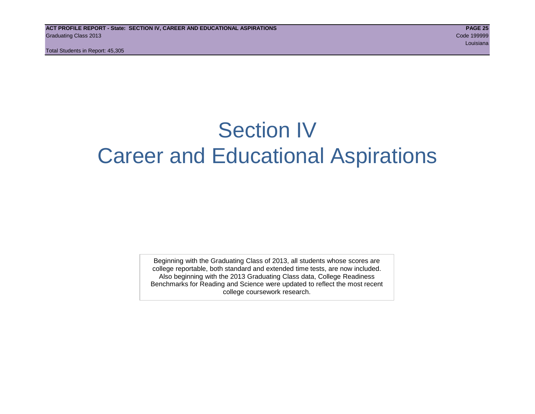# Section IV Career and Educational Aspirations

Beginning with the Graduating Class of 2013, all students whose scores are college reportable, both standard and extended time tests, are now included. Also beginning with the 2013 Graduating Class data, College Readiness Benchmarks for Reading and Science were updated to reflect the most recent college coursework research.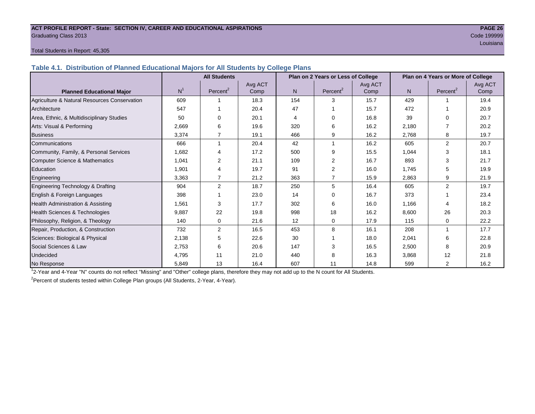#### **ACT PROFILE REPORT - State: SECTION IV, CAREER AND EDUCATIONAL ASPIRATIONS PAGE 26** Graduating Class 2013 Code 199999

louisiana and a contract of the contract of the contract of the contract of the contract of the contract of the

#### Total Students in Report: 45,305

**Table 4.1. Distribution of Planned Educational Majors for All Students by College Plans**

|                                              | <b>All Students</b><br>Plan on 2 Years or Less of College |             |         |     |                      | Plan on 4 Years or More of College |       |                      |         |  |
|----------------------------------------------|-----------------------------------------------------------|-------------|---------|-----|----------------------|------------------------------------|-------|----------------------|---------|--|
|                                              |                                                           |             | Avg ACT |     |                      | Avg ACT                            |       |                      | Avg ACT |  |
| <b>Planned Educational Major</b>             | N <sup>1</sup>                                            | Percent $2$ | Comp    | N.  | Percent <sup>2</sup> | Comp                               | N     | Percent <sup>2</sup> | Comp    |  |
| Agriculture & Natural Resources Conservation | 609                                                       |             | 18.3    | 154 | 3                    | 15.7                               | 429   |                      | 19.4    |  |
| Architecture                                 | 547                                                       |             | 20.4    | 47  |                      | 15.7                               | 472   |                      | 20.9    |  |
| Area, Ethnic, & Multidisciplinary Studies    | 50                                                        |             | 20.1    | 4   | 0                    | 16.8                               | 39    | $\Omega$             | 20.7    |  |
| Arts: Visual & Performing                    | 2,669                                                     | 6           | 19.6    | 320 | 6                    | 16.2                               | 2,180 |                      | 20.2    |  |
| <b>Business</b>                              | 3.374                                                     | 7           | 19.1    | 466 | 9                    | 16.2                               | 2,768 | 8                    | 19.7    |  |
| Communications                               | 666                                                       |             | 20.4    | 42  | 1                    | 16.2                               | 605   | $\overline{2}$       | 20.7    |  |
| Community, Family, & Personal Services       | 1,682                                                     |             | 17.2    | 500 | 9                    | 15.5                               | 1,044 | 3                    | 18.1    |  |
| Computer Science & Mathematics               | 1,041                                                     | 2           | 21.1    | 109 | $\overline{2}$       | 16.7                               | 893   | 3                    | 21.7    |  |
| Education                                    | 1,901                                                     | 4           | 19.7    | 91  | 2                    | 16.0                               | 1,745 | 5                    | 19.9    |  |
| Engineering                                  | 3,363                                                     | 7           | 21.2    | 363 | 7                    | 15.9                               | 2,863 | 9                    | 21.9    |  |
| Engineering Technology & Drafting            | 904                                                       | 2           | 18.7    | 250 | 5                    | 16.4                               | 605   | $\overline{2}$       | 19.7    |  |
| English & Foreign Languages                  | 398                                                       |             | 23.0    | 14  | $\Omega$             | 16.7                               | 373   |                      | 23.4    |  |
| <b>Health Administration &amp; Assisting</b> | 1,561                                                     | 3           | 17.7    | 302 | 6                    | 16.0                               | 1.166 | 4                    | 18.2    |  |
| Health Sciences & Technologies               | 9,887                                                     | 22          | 19.8    | 998 | 18                   | 16.2                               | 8,600 | 26                   | 20.3    |  |
| Philosophy, Religion, & Theology             | 140                                                       | 0           | 21.6    | 12  | 0                    | 17.9                               | 115   | $\Omega$             | 22.2    |  |
| Repair, Production, & Construction           | 732                                                       | 2           | 16.5    | 453 | 8                    | 16.1                               | 208   | $\overline{ }$       | 17.7    |  |
| Sciences: Biological & Physical              | 2,138                                                     | 5           | 22.6    | 30  |                      | 18.0                               | 2,041 | 6                    | 22.8    |  |
| Social Sciences & Law                        | 2,753                                                     | 6           | 20.6    | 147 | 3                    | 16.5                               | 2,500 | 8                    | 20.9    |  |
| Undecided                                    | 4,795                                                     | 11          | 21.0    | 440 | 8                    | 16.3                               | 3,868 | 12                   | 21.8    |  |
| No Response                                  | 5,849                                                     | 13          | 16.4    | 607 | 11                   | 14.8                               | 599   | $\overline{2}$       | 16.2    |  |

1 2-Year and 4-Year "N" counts do not reflect "Missing" and "Other" college plans, therefore they may not add up to the N count for All Students.

<sup>2</sup> Percent of students tested within College Plan groups (All Students, 2-Year, 4-Year).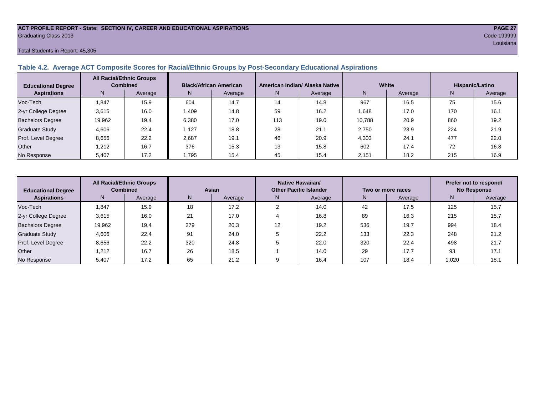#### **ACT PROFILE REPORT - State: SECTION IV, CAREER AND EDUCATIONAL ASPIRATIONS PAGE 27** Graduating Class 2013 Code 199999

#### Total Students in Report: 45,305

#### **Table 4.2. Average ACT Composite Scores for Racial/Ethnic Groups by Post-Secondary Educational Aspirations**

| <b>Educational Degree</b> | <b>All Racial/Ethnic Groups</b><br><b>Combined</b> |         | <b>Black/African American</b> |         |     | American Indian/ Alaska Native |        | White   | Hispanic/Latino |         |  |
|---------------------------|----------------------------------------------------|---------|-------------------------------|---------|-----|--------------------------------|--------|---------|-----------------|---------|--|
| <b>Aspirations</b>        | N.                                                 | Average | N                             | Average | N   | Average                        | N      | Average | N               | Average |  |
| Voc-Tech                  | 1,847                                              | 15.9    | 604                           | 14.7    | 14  | 14.8                           | 967    | 16.5    | 75              | 15.6    |  |
| 2-yr College Degree       | 3,615                                              | 16.0    | 1,409                         | 14.8    | 59  | 16.2                           | 1,648  | 17.0    | 170             | 16.1    |  |
| <b>Bachelors Degree</b>   | 19,962                                             | 19.4    | 6.380                         | 17.0    | 113 | 19.0                           | 10.788 | 20.9    | 860             | 19.2    |  |
| <b>Graduate Study</b>     | 4.606                                              | 22.4    | .127                          | 18.8    | 28  | 21.1                           | 2.750  | 23.9    | 224             | 21.9    |  |
| Prof. Level Degree        | 8,656                                              | 22.2    | 2,687                         | 19.1    | 46  | 20.9                           | 4,303  | 24.1    | 477             | 22.0    |  |
| Other                     | 1.212                                              | 16.7    | 376                           | 15.3    | 13  | 15.8                           | 602    | 17.4    | 72              | 16.8    |  |
| No Response               | 5,407                                              | 17.2    | 1,795                         | 15.4    | 45  | 15.4                           | 2,151  | 18.2    | 215             | 16.9    |  |

| <b>Educational Degree</b> |        | <b>All Racial/Ethnic Groups</b><br><b>Combined</b> | Asian |         |    | Native Hawaiian/<br><b>Other Pacific Islander</b> |     | Two or more races | Prefer not to respond/<br><b>No Response</b> |         |  |
|---------------------------|--------|----------------------------------------------------|-------|---------|----|---------------------------------------------------|-----|-------------------|----------------------------------------------|---------|--|
| <b>Aspirations</b>        | N      | Average                                            | N     | Average | N. | Average                                           | N   | Average           | N                                            | Average |  |
| Voc-Tech                  | .847   | 15.9                                               | 18    | 17.2    |    | 14.0                                              | 42  | 17.5              | 125                                          | 15.7    |  |
| 2-yr College Degree       | 3,615  | 16.0                                               | 21    | 17.0    |    | 16.8                                              | 89  | 16.3              | 215                                          | 15.7    |  |
| <b>Bachelors Degree</b>   | 19,962 | 19.4                                               | 279   | 20.3    | 12 | 19.2                                              | 536 | 19.7              | 994                                          | 18.4    |  |
| <b>Graduate Study</b>     | 4,606  | 22.4                                               | 91    | 24.0    |    | 22.2                                              | 133 | 22.3              | 248                                          | 21.2    |  |
| Prof. Level Degree        | 8,656  | 22.2                                               | 320   | 24.8    |    | 22.0                                              | 320 | 22.4              | 498                                          | 21.7    |  |
| Other                     | 1.212  | 16.7                                               | 26    | 18.5    |    | 14.0                                              | 29  | 17.7              | 93                                           | 17.1    |  |
| No Response               | 5,407  | 17.2                                               | 65    | 21.2    |    | 16.4                                              | 107 | 18.4              | 1,020                                        | 18.1    |  |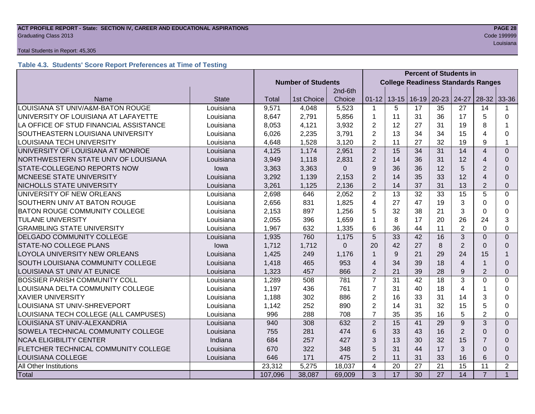#### **ACT PROFILE REPORT - State: SECTION IV, CAREER AND EDUCATIONAL ASPIRATIONS PAGE 28 Graduating Class 2013** Code 199999 **Code 199999**

#### Total Students in Report: 45,305

# **Table 4.3. Students' Score Report Preferences at Time of Testing**

|                                        |              |                           |            |             | <b>Percent of Students in</b> |                                           |    |                       |                |                         |                |  |
|----------------------------------------|--------------|---------------------------|------------|-------------|-------------------------------|-------------------------------------------|----|-----------------------|----------------|-------------------------|----------------|--|
|                                        |              | <b>Number of Students</b> |            |             |                               | <b>College Readiness Standards Ranges</b> |    |                       |                |                         |                |  |
|                                        |              |                           |            | 2nd-6th     |                               |                                           |    |                       |                |                         |                |  |
| Name                                   | <b>State</b> | Total                     | 1st Choice | Choice      | $01 - 12$                     |                                           |    | 13-15   16-19   20-23 | 24-27          | $28-32$                 | 33-36          |  |
| LOUISIANA ST UNIV/A&M-BATON ROUGE      | Louisiana    | 9,571                     | 4,048      | 5,523       | $\mathbf{1}$                  | 5                                         | 17 | 35                    | 27             | 14                      |                |  |
| UNIVERSITY OF LOUISIANA AT LAFAYETTE   | Louisiana    | 8,647                     | 2,791      | 5,856       | 1                             | 11                                        | 31 | 36                    | 17             | 5                       | 0              |  |
| LA OFFICE OF STUD FINANCIAL ASSISTANCE | Louisiana    | 8,053                     | 4,121      | 3,932       | $\overline{2}$                | 12                                        | 27 | 31                    | 19             | 8                       |                |  |
| SOUTHEASTERN LOUISIANA UNIVERSITY      | Louisiana    | 6,026                     | 2,235      | 3,791       | $\overline{2}$                | 13                                        | 34 | 34                    | 15             | 4                       | 0              |  |
| LOUISIANA TECH UNIVERSITY              | Louisiana    | 4,648                     | 1,528      | 3,120       | $\overline{2}$                | 11                                        | 27 | 32                    | 19             | 9                       | 1              |  |
| UNIVERSITY OF LOUISIANA AT MONROE      | Louisiana    | 4,125                     | 1,174      | 2,951       | 2                             | 15                                        | 34 | 31                    | 14             | $\overline{\mathbf{A}}$ | $\Omega$       |  |
| NORTHWESTERN STATE UNIV OF LOUISIANA   | Louisiana    | 3,949                     | 1,118      | 2,831       | $\overline{2}$                | 14                                        | 36 | 31                    | 12             | 4                       | 0              |  |
| STATE-COLLEGE/NO REPORTS NOW           | lowa         | 3,363                     | 3,363      | $\mathbf 0$ | 9                             | 36                                        | 36 | 12                    | 5              | $\overline{2}$          | $\Omega$       |  |
| <b>MCNEESE STATE UNIVERSITY</b>        | Louisiana    | 3,292                     | 1,139      | 2,153       | $\overline{2}$                | 14                                        | 35 | 33                    | 12             | $\overline{4}$          | $\Omega$       |  |
| NICHOLLS STATE UNIVERSITY              | Louisiana    | 3,261                     | 1,125      | 2,136       | $\overline{2}$                | 14                                        | 37 | 31                    | 13             | $\overline{2}$          | $\Omega$       |  |
| UNIVERSITY OF NEW ORLEANS              | Louisiana    | 2,698                     | 646        | 2,052       | $\overline{2}$                | 13                                        | 32 | 33                    | 15             | 5                       | 0              |  |
| SOUTHERN UNIV AT BATON ROUGE           | Louisiana    | 2,656                     | 831        | 1,825       | 4                             | 27                                        | 47 | 19                    | 3              | $\Omega$                | 0              |  |
| <b>BATON ROUGE COMMUNITY COLLEGE</b>   | Louisiana    | 2,153                     | 897        | 1,256       | 5                             | 32                                        | 38 | 21                    | 3              | $\Omega$                | 0              |  |
| <b>TULANE UNIVERSITY</b>               | Louisiana    | 2,055                     | 396        | 1,659       | 1                             | 8                                         | 17 | 20                    | 26             | 24                      | 3              |  |
| <b>GRAMBLING STATE UNIVERSITY</b>      | Louisiana    | 1,967                     | 632        | 1,335       | 6                             | 36                                        | 44 | 11                    | $\overline{2}$ | $\Omega$                | 0              |  |
| <b>DELGADO COMMUNITY COLLEGE</b>       | Louisiana    | 1,935                     | 760        | 1,175       | 5                             | 33                                        | 42 | 16                    | 3              | $\Omega$                | $\Omega$       |  |
| STATE-NO COLLEGE PLANS                 | lowa         | 1,712                     | 1,712      | $\Omega$    | 20                            | 42                                        | 27 | 8                     | $\overline{2}$ | $\Omega$                | 0              |  |
| LOYOLA UNIVERSITY NEW ORLEANS          | Louisiana    | 1,425                     | 249        | 1,176       | $\mathbf{1}$                  | 9                                         | 21 | 29                    | 24             | 15                      | 1              |  |
| SOUTH LOUISIANA COMMUNITY COLLEGE      | Louisiana    | 1,418                     | 465        | 953         | $\overline{4}$                | 34                                        | 39 | 18                    | $\overline{4}$ |                         | 0              |  |
| LOUISIANA ST UNIV AT EUNICE            | Louisiana    | 1,323                     | 457        | 866         | $\overline{2}$                | 21                                        | 39 | 28                    | 9              | $\overline{2}$          | $\Omega$       |  |
| <b>BOSSIER PARISH COMMUNITY COLL</b>   | Louisiana    | 1,289                     | 508        | 781         | $\overline{7}$                | 31                                        | 42 | 18                    | 3              | $\overline{0}$          | 0              |  |
| LOUISIANA DELTA COMMUNITY COLLEGE      | Louisiana    | 1,197                     | 436        | 761         | $\overline{7}$                | 31                                        | 40 | 18                    | 4              |                         | 0              |  |
| <b>XAVIER UNIVERSITY</b>               | Louisiana    | 1,188                     | 302        | 886         | $\overline{2}$                | 16                                        | 33 | 31                    | 14             | 3                       | 0              |  |
| LOUISIANA ST UNIV-SHREVEPORT           | Louisiana    | 1,142                     | 252        | 890         | $\overline{2}$                | 14                                        | 31 | 32                    | 15             | 5                       | 0              |  |
| LOUISIANA TECH COLLEGE (ALL CAMPUSES)  | Louisiana    | 996                       | 288        | 708         | $\overline{7}$                | 35                                        | 35 | 16                    | 5              | $\overline{2}$          | 0              |  |
| LOUISIANA ST UNIV-ALEXANDRIA           | Louisiana    | 940                       | 308        | 632         | $\overline{2}$                | 15                                        | 41 | 29                    | 9              | 3                       | $\Omega$       |  |
| SOWELA TECHNICAL COMMUNITY COLLEGE     | Louisiana    | 755                       | 281        | 474         | 6                             | 33                                        | 43 | 16                    | $\overline{2}$ | $\Omega$                | $\Omega$       |  |
| <b>NCAA ELIGIBILITY CENTER</b>         | Indiana      | 684                       | 257        | 427         | 3                             | 13                                        | 30 | 32                    | 15             | 7                       | $\Omega$       |  |
| FLETCHER TECHNICAL COMMUNITY COLLEGE   | Louisiana    | 670                       | 322        | 348         | 5                             | 31                                        | 44 | 17                    | 3              | $\Omega$                | $\Omega$       |  |
| LOUISIANA COLLEGE                      | Louisiana    | 646                       | 171        | 475         | $\overline{2}$                | 11                                        | 31 | 33                    | 16             | 6                       | $\Omega$       |  |
| All Other Institutions                 |              | 23,312                    | 5,275      | 18,037      | 4                             | 20                                        | 27 | 21                    | 15             | 11                      | $\overline{2}$ |  |
| Total                                  |              | 107,096                   | 38,087     | 69,009      | 3                             | $\overline{17}$                           | 30 | 27                    | 14             | $\overline{7}$          | $\mathbf{1}$   |  |

louisiana and a contract of the contract of the contract of the contract of the contract of the contract of the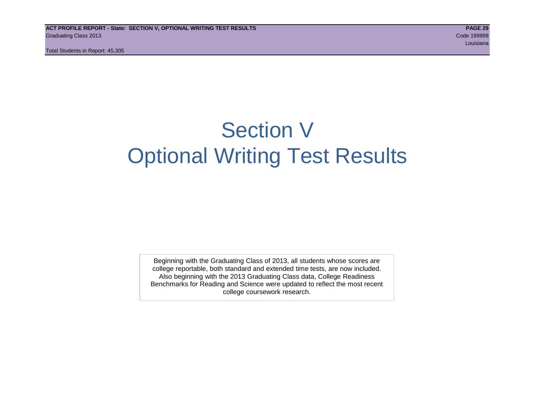# Section V Optional Writing Test Results

Beginning with the Graduating Class of 2013, all students whose scores are college reportable, both standard and extended time tests, are now included. Also beginning with the 2013 Graduating Class data, College Readiness Benchmarks for Reading and Science were updated to reflect the most recent college coursework research.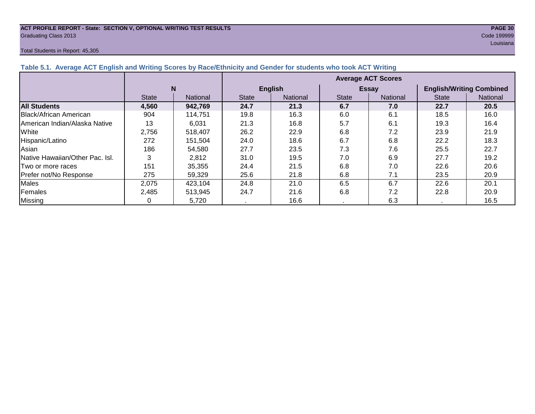#### **ACT PROFILE REPORT - State: SECTION V, OPTIONAL WRITING TEST RESULTS PAGE 30 Graduating Class 2013** Code 199999 **Code 199999**

#### Total Students in Report: 45,305

|                                                                                                                  | Louisiana |
|------------------------------------------------------------------------------------------------------------------|-----------|
| Total Students in Report: 45,305                                                                                 |           |
|                                                                                                                  |           |
| Table 5.1. Average ACT English and Writing Scores by Race/Ethnicity and Gender for students who took ACT Writing |           |
|                                                                                                                  |           |

|                                 |              |          | <b>Average ACT Scores</b> |                 |              |                 |                                 |          |  |  |
|---------------------------------|--------------|----------|---------------------------|-----------------|--------------|-----------------|---------------------------------|----------|--|--|
|                                 | N            |          |                           | <b>English</b>  |              | <b>Essay</b>    | <b>English/Writing Combined</b> |          |  |  |
|                                 | <b>State</b> | National | <b>State</b>              | <b>National</b> | <b>State</b> | <b>National</b> | <b>State</b>                    | National |  |  |
| <b>All Students</b>             | 4,560        | 942,769  | 24.7                      | 21.3            | 6.7          | 7.0             | 22.7                            | 20.5     |  |  |
| Black/African American          | 904          | 114,751  | 19.8                      | 16.3            | 6.0          | 6.1             | 18.5                            | 16.0     |  |  |
| IAmerican Indian/Alaska Native  | 13           | 6,031    | 21.3                      | 16.8            | 5.7          | 6.1             | 19.3                            | 16.4     |  |  |
| White                           | 2,756        | 518,407  | 26.2                      | 22.9            | 6.8          | 7.2             | 23.9                            | 21.9     |  |  |
| Hispanic/Latino                 | 272          | 151,504  | 24.0                      | 18.6            | 6.7          | 6.8             | 22.2                            | 18.3     |  |  |
| Asian                           | 186          | 54,580   | 27.7                      | 23.5            | 7.3          | 7.6             | 25.5                            | 22.7     |  |  |
| Native Hawaiian/Other Pac. Isl. | 3            | 2.812    | 31.0                      | 19.5            | 7.0          | 6.9             | 27.7                            | 19.2     |  |  |
| Two or more races               | 151          | 35,355   | 24.4                      | 21.5            | 6.8          | 7.0             | 22.6                            | 20.6     |  |  |
| Prefer not/No Response          | 275          | 59,329   | 25.6                      | 21.8            | 6.8          | 7.1             | 23.5                            | 20.9     |  |  |
| Males                           | 2,075        | 423,104  | 24.8                      | 21.0            | 6.5          | 6.7             | 22.6                            | 20.1     |  |  |
| Females                         | 2,485        | 513,945  | 24.7                      | 21.6            | 6.8          | 7.2             | 22.8                            | 20.9     |  |  |
| <b>Missing</b>                  |              | 5,720    |                           | 16.6            |              | 6.3             |                                 | 16.5     |  |  |

# **Table 5.1. Average ACT English and Writing Scores by Race/Ethnicity and Gender**